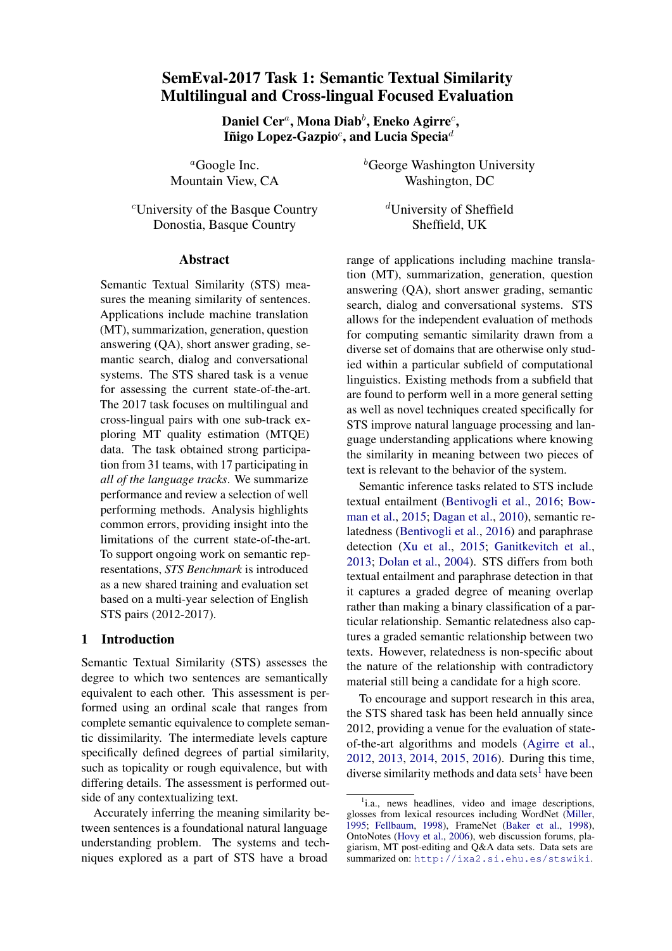# SemEval-2017 Task 1: Semantic Textual Similarity Multilingual and Cross-lingual Focused Evaluation

Daniel Cer $^{a}$ , Mona Diab $^{b}$ , Eneko Agirre $^{c}$ , Iñigo Lopez-Gazpio $^c$ , and Lucia Specia $^d$ 

<sup>a</sup>Google Inc. Mountain View, CA

<sup>c</sup>University of the Basque Country Donostia, Basque Country

### Abstract

Semantic Textual Similarity (STS) measures the meaning similarity of sentences. Applications include machine translation (MT), summarization, generation, question answering (QA), short answer grading, semantic search, dialog and conversational systems. The STS shared task is a venue for assessing the current state-of-the-art. The 2017 task focuses on multilingual and cross-lingual pairs with one sub-track exploring MT quality estimation (MTQE) data. The task obtained strong participation from 31 teams, with 17 participating in *all of the language tracks*. We summarize performance and review a selection of well performing methods. Analysis highlights common errors, providing insight into the limitations of the current state-of-the-art. To support ongoing work on semantic representations, *STS Benchmark* is introduced as a new shared training and evaluation set based on a multi-year selection of English STS pairs (2012-2017).

## 1 Introduction

Semantic Textual Similarity (STS) assesses the degree to which two sentences are semantically equivalent to each other. This assessment is performed using an ordinal scale that ranges from complete semantic equivalence to complete semantic dissimilarity. The intermediate levels capture specifically defined degrees of partial similarity, such as topicality or rough equivalence, but with differing details. The assessment is performed outside of any contextualizing text.

Accurately inferring the meaning similarity between sentences is a foundational natural language understanding problem. The systems and techniques explored as a part of STS have a broad

 ${}^b$ George Washington University Washington, DC

> <sup>d</sup>University of Sheffield Sheffield, UK

range of applications including machine translation (MT), summarization, generation, question answering (QA), short answer grading, semantic search, dialog and conversational systems. STS allows for the independent evaluation of methods for computing semantic similarity drawn from a diverse set of domains that are otherwise only studied within a particular subfield of computational linguistics. Existing methods from a subfield that are found to perform well in a more general setting as well as novel techniques created specifically for STS improve natural language processing and language understanding applications where knowing the similarity in meaning between two pieces of text is relevant to the behavior of the system.

Semantic inference tasks related to STS include textual entailment [\(Bentivogli et al.,](#page-11-0) [2016;](#page-11-0) [Bow](#page-11-1)[man et al.,](#page-11-1) [2015;](#page-11-1) [Dagan et al.,](#page-11-2) [2010\)](#page-11-2), semantic relatedness [\(Bentivogli et al.,](#page-11-0) [2016\)](#page-11-0) and paraphrase detection [\(Xu et al.,](#page-13-0) [2015;](#page-13-0) [Ganitkevitch et al.,](#page-11-3) [2013;](#page-11-3) [Dolan et al.,](#page-11-4) [2004\)](#page-11-4). STS differs from both textual entailment and paraphrase detection in that it captures a graded degree of meaning overlap rather than making a binary classification of a particular relationship. Semantic relatedness also captures a graded semantic relationship between two texts. However, relatedness is non-specific about the nature of the relationship with contradictory material still being a candidate for a high score.

To encourage and support research in this area, the STS shared task has been held annually since 2012, providing a venue for the evaluation of stateof-the-art algorithms and models [\(Agirre et al.,](#page-10-0) [2012,](#page-10-0) [2013,](#page-10-1) [2014,](#page-10-2) [2015,](#page-10-3) [2016\)](#page-10-4). During this time, diverse similarity methods and data sets<sup>[1](#page-0-0)</sup> have been

<span id="page-0-0"></span><sup>&</sup>lt;sup>1</sup>i.a., news headlines, video and image descriptions, glosses from lexical resources including WordNet [\(Miller,](#page-12-0) [1995;](#page-12-0) [Fellbaum,](#page-11-5) [1998\)](#page-11-5), FrameNet [\(Baker et al.,](#page-11-6) [1998\)](#page-11-6), OntoNotes [\(Hovy et al.,](#page-12-1) [2006\)](#page-12-1), web discussion forums, plagiarism, MT post-editing and Q&A data sets. Data sets are summarized on: <http://ixa2.si.ehu.es/stswiki>.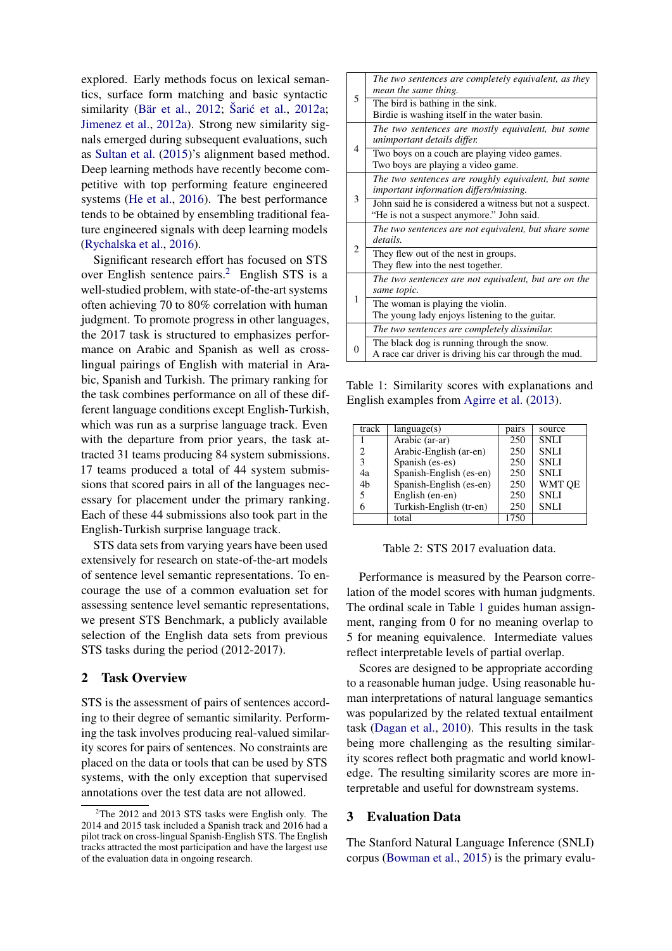explored. Early methods focus on lexical semantics, surface form matching and basic syntactic similarity (Bär et al., [2012;](#page-11-7) Šarić et al., [2012a;](#page-13-1) [Jimenez et al.,](#page-12-2) [2012a\)](#page-12-2). Strong new similarity signals emerged during subsequent evaluations, such as [Sultan et al.](#page-13-2) [\(2015\)](#page-13-2)'s alignment based method. Deep learning methods have recently become competitive with top performing feature engineered systems [\(He et al.,](#page-12-3) [2016\)](#page-12-3). The best performance tends to be obtained by ensembling traditional feature engineered signals with deep learning models [\(Rychalska et al.,](#page-13-3) [2016\)](#page-13-3).

Significant research effort has focused on STS over English sentence pairs.[2](#page-1-0) English STS is a well-studied problem, with state-of-the-art systems often achieving 70 to 80% correlation with human judgment. To promote progress in other languages, the 2017 task is structured to emphasizes performance on Arabic and Spanish as well as crosslingual pairings of English with material in Arabic, Spanish and Turkish. The primary ranking for the task combines performance on all of these different language conditions except English-Turkish, which was run as a surprise language track. Even with the departure from prior years, the task attracted 31 teams producing 84 system submissions. 17 teams produced a total of 44 system submissions that scored pairs in all of the languages necessary for placement under the primary ranking. Each of these 44 submissions also took part in the English-Turkish surprise language track.

STS data sets from varying years have been used extensively for research on state-of-the-art models of sentence level semantic representations. To encourage the use of a common evaluation set for assessing sentence level semantic representations, we present STS Benchmark, a publicly available selection of the English data sets from previous STS tasks during the period (2012-2017).

### 2 Task Overview

STS is the assessment of pairs of sentences according to their degree of semantic similarity. Performing the task involves producing real-valued similarity scores for pairs of sentences. No constraints are placed on the data or tools that can be used by STS systems, with the only exception that supervised annotations over the test data are not allowed.

<span id="page-1-1"></span>

|   | The two sentences are completely equivalent, as they<br>mean the same thing.                         |
|---|------------------------------------------------------------------------------------------------------|
| 5 | The bird is bathing in the sink.<br>Birdie is washing itself in the water basin.                     |
|   | The two sentences are mostly equivalent, but some<br>unimportant details differ.                     |
| 4 | Two boys on a couch are playing video games.<br>Two boys are playing a video game.                   |
|   | The two sentences are roughly equivalent, but some<br>important information differs/missing.         |
| 3 | John said he is considered a witness but not a suspect.<br>"He is not a suspect anymore." John said. |
|   | The two sentences are not equivalent, but share some<br>details.                                     |
| 2 | They flew out of the nest in groups.<br>They flew into the nest together.                            |
|   | The two sentences are not equivalent, but are on the<br>same topic.                                  |
| 1 | The woman is playing the violin.<br>The young lady enjoys listening to the guitar.                   |
|   | The two sentences are completely dissimilar.                                                         |
| 0 | The black dog is running through the snow.<br>A race car driver is driving his car through the mud.  |

Table 1: Similarity scores with explanations and English examples from [Agirre et al.](#page-10-1) [\(2013\)](#page-10-1).

<span id="page-1-2"></span>

| track | language(s)             | pairs | source      |
|-------|-------------------------|-------|-------------|
|       | Arabic (ar-ar)          | 250   | <b>SNLI</b> |
|       | Arabic-English (ar-en)  | 250   | <b>SNLI</b> |
| 3     | Spanish (es-es)         | 250   | <b>SNLI</b> |
| 4a    | Spanish-English (es-en) | 250   | <b>SNLI</b> |
| 4b    | Spanish-English (es-en) | 250   | WMT QE      |
|       | English (en-en)         | 250   | <b>SNLI</b> |
|       | Turkish-English (tr-en) | 250   | <b>SNLI</b> |
|       | total                   | 1750  |             |

Table 2: STS 2017 evaluation data.

Performance is measured by the Pearson correlation of the model scores with human judgments. The ordinal scale in Table [1](#page-1-1) guides human assignment, ranging from 0 for no meaning overlap to 5 for meaning equivalence. Intermediate values reflect interpretable levels of partial overlap.

Scores are designed to be appropriate according to a reasonable human judge. Using reasonable human interpretations of natural language semantics was popularized by the related textual entailment task [\(Dagan et al.,](#page-11-2) [2010\)](#page-11-2). This results in the task being more challenging as the resulting similarity scores reflect both pragmatic and world knowledge. The resulting similarity scores are more interpretable and useful for downstream systems.

### 3 Evaluation Data

The Stanford Natural Language Inference (SNLI) corpus [\(Bowman et al.,](#page-11-1) [2015\)](#page-11-1) is the primary evalu-

<span id="page-1-0"></span> $2$ The 2012 and 2013 STS tasks were English only. The 2014 and 2015 task included a Spanish track and 2016 had a pilot track on cross-lingual Spanish-English STS. The English tracks attracted the most participation and have the largest use of the evaluation data in ongoing research.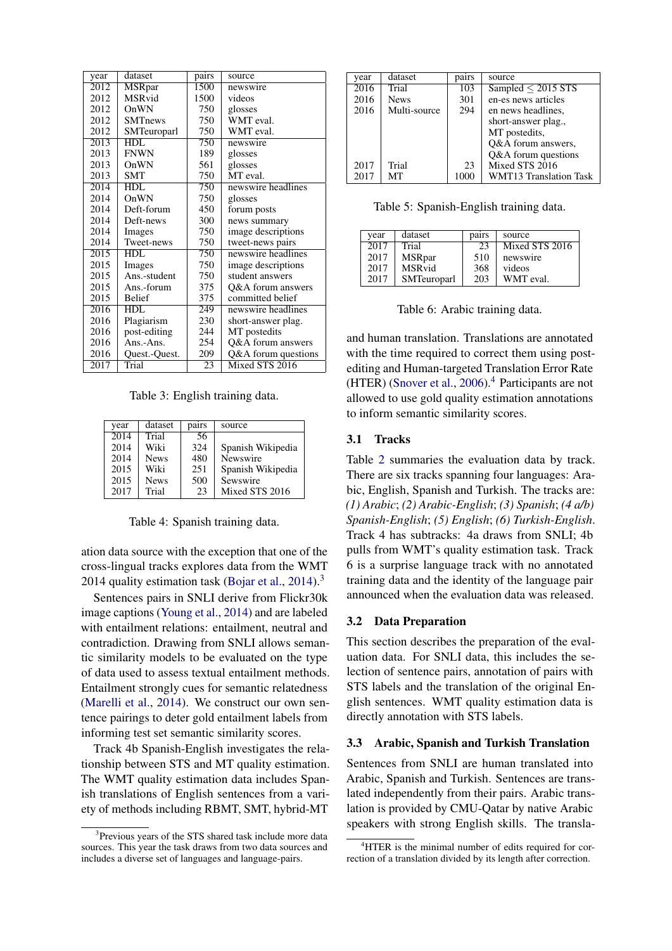<span id="page-2-2"></span>

| year              | dataset        | pairs | source              |
|-------------------|----------------|-------|---------------------|
| 2012              | <b>MSRpar</b>  | 1500  | newswire            |
| 2012              | MSRvid         | 1500  | videos              |
| 2012              | OnWN           | 750   | glosses             |
| 2012              | <b>SMTnews</b> | 750   | WMT eval.           |
| 2012              | SMTeuroparl    | 750   | WMT eval.           |
| 2013              | HDL            | 750   | newswire            |
| 2013              | <b>FNWN</b>    | 189   | glosses             |
| 2013              | OnWN           | 561   | glosses             |
| 2013              | <b>SMT</b>     | 750   | MT eval.            |
| $2\overline{014}$ | HDL            | 750   | newswire headlines  |
| 2014              | OnWN           | 750   | glosses             |
| 2014              | Deft-forum     | 450   | forum posts         |
| 2014              | Deft-news      | 300   | news summary        |
| 2014              | Images         | 750   | image descriptions  |
| 2014              | Tweet-news     | 750   | tweet-news pairs    |
| 2015              | HDL.           | 750   | newswire headlines  |
| 2015              | Images         | 750   | image descriptions  |
| 2015              | Ans.-student   | 750   | student answers     |
| 2015              | Ans.-forum     | 375   | Q&A forum answers   |
| 2015              | <b>Belief</b>  | 375   | committed belief    |
| 2016              | HDL            | 249   | newswire headlines  |
| 2016              | Plagiarism     | 230   | short-answer plag.  |
| 2016              | post-editing   | 244   | MT postedits        |
| 2016              | $Ans. - Ans.$  | 254   | Q&A forum answers   |
| 2016              | Quest.-Quest.  | 209   | Q&A forum questions |
| 2017              | Trial          | 23    | Mixed STS 2016      |

Table 3: English training data.

<span id="page-2-3"></span>

| year | dataset     | pairs | source            |
|------|-------------|-------|-------------------|
| 2014 | Trial       | -56   |                   |
| 2014 | Wiki        | 324   | Spanish Wikipedia |
| 2014 | <b>News</b> | 480   | Newswire          |
| 2015 | Wiki        | 251   | Spanish Wikipedia |
| 2015 | <b>News</b> | 500   | Sewswire          |
| 2017 | Trial       | 23    | Mixed STS 2016    |

Table 4: Spanish training data.

ation data source with the exception that one of the cross-lingual tracks explores data from the WMT 2014 quality estimation task [\(Bojar et al.,](#page-11-8) [2014\)](#page-11-8).<sup>[3](#page-2-0)</sup>

Sentences pairs in SNLI derive from Flickr30k image captions [\(Young et al.,](#page-13-4) [2014\)](#page-13-4) and are labeled with entailment relations: entailment, neutral and contradiction. Drawing from SNLI allows semantic similarity models to be evaluated on the type of data used to assess textual entailment methods. Entailment strongly cues for semantic relatedness [\(Marelli et al.,](#page-12-4) [2014\)](#page-12-4). We construct our own sentence pairings to deter gold entailment labels from informing test set semantic similarity scores.

Track 4b Spanish-English investigates the relationship between STS and MT quality estimation. The WMT quality estimation data includes Spanish translations of English sentences from a variety of methods including RBMT, SMT, hybrid-MT

<span id="page-2-4"></span>

| year | dataset      | pairs | source                  |
|------|--------------|-------|-------------------------|
| 2016 | Trial        | 103   | Sampled $\leq$ 2015 STS |
| 2016 | <b>News</b>  | 301   | en-es news articles     |
| 2016 | Multi-source | 294   | en news headlines.      |
|      |              |       | short-answer plag.,     |
|      |              |       | MT postedits,           |
|      |              |       | O&A forum answers,      |
|      |              |       | Q&A forum questions     |
| 2017 | Trial        | 23    | Mixed STS 2016          |
| 2017 | MТ           | 1000  | WMT13 Translation Task  |

Table 5: Spanish-English training data.

<span id="page-2-5"></span>

| vear | dataset       | pairs | source         |
|------|---------------|-------|----------------|
| 2017 | Trial         | 23    | Mixed STS 2016 |
| 2017 | <b>MSRpar</b> | 510   | newswire       |
| 2017 | <b>MSRvid</b> | 368   | videos         |
| 2017 | SMTeuroparl   | 203   | WMT eval.      |

Table 6: Arabic training data.

and human translation. Translations are annotated with the time required to correct them using postediting and Human-targeted Translation Error Rate (HTER) [\(Snover et al.,](#page-13-5) [2006\)](#page-13-5).<sup>[4](#page-2-1)</sup> Participants are not allowed to use gold quality estimation annotations to inform semantic similarity scores.

### 3.1 Tracks

Table [2](#page-1-2) summaries the evaluation data by track. There are six tracks spanning four languages: Arabic, English, Spanish and Turkish. The tracks are: *(1) Arabic*; *(2) Arabic-English*; *(3) Spanish*; *(4 a/b) Spanish-English*; *(5) English*; *(6) Turkish-English*. Track 4 has subtracks: 4a draws from SNLI; 4b pulls from WMT's quality estimation task. Track 6 is a surprise language track with no annotated training data and the identity of the language pair announced when the evaluation data was released.

#### 3.2 Data Preparation

This section describes the preparation of the evaluation data. For SNLI data, this includes the selection of sentence pairs, annotation of pairs with STS labels and the translation of the original English sentences. WMT quality estimation data is directly annotation with STS labels.

### 3.3 Arabic, Spanish and Turkish Translation

Sentences from SNLI are human translated into Arabic, Spanish and Turkish. Sentences are translated independently from their pairs. Arabic translation is provided by CMU-Qatar by native Arabic speakers with strong English skills. The transla-

<span id="page-2-0"></span><sup>&</sup>lt;sup>3</sup>Previous years of the STS shared task include more data sources. This year the task draws from two data sources and includes a diverse set of languages and language-pairs.

<span id="page-2-1"></span><sup>&</sup>lt;sup>4</sup>HTER is the minimal number of edits required for correction of a translation divided by its length after correction.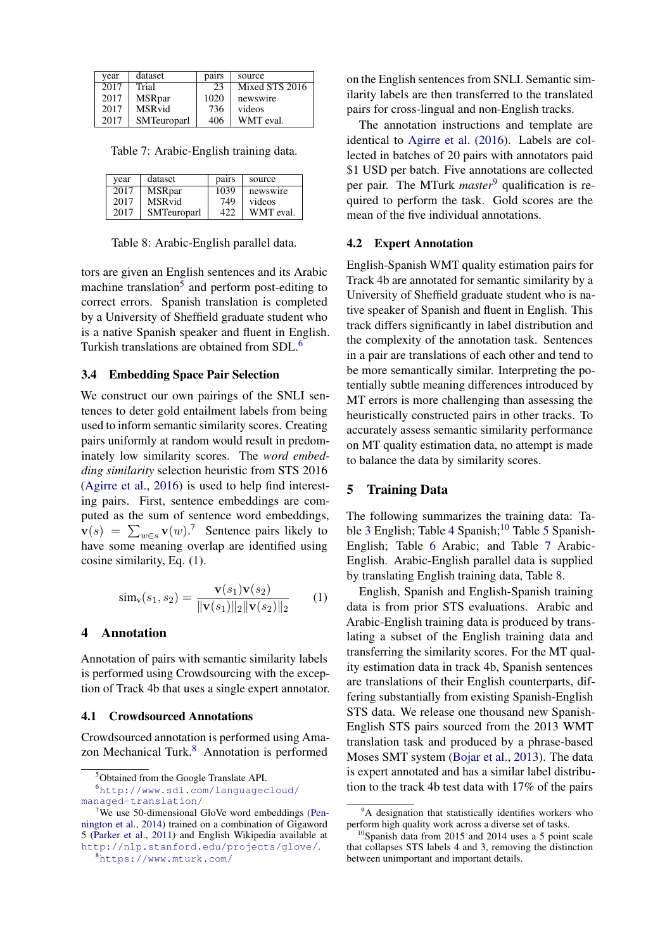<span id="page-3-7"></span>

| vear | dataset       | pairs | source           |
|------|---------------|-------|------------------|
| 2017 | Trial         | 23    | Mixed $STS$ 2016 |
| 2017 | <b>MSRpar</b> | 1020  | newswire         |
| 2017 | <b>MSRvid</b> | 736   | videos           |
| 2017 | SMTeuroparl   | 406   | WMT eval.        |

Table 7: Arabic-English training data.

<span id="page-3-8"></span>

| vear | dataset            | pairs | source    |
|------|--------------------|-------|-----------|
| 2017 | <b>MSR</b> par     | 1039  | newswire  |
| 2017 | <b>MSR</b> vid     | 749   | videos    |
| 2017 | <b>SMTeuroparl</b> | 422   | WMT eval. |

Table 8: Arabic-English parallel data.

tors are given an English sentences and its Arabic machine translation<sup>[5](#page-3-0)</sup> and perform post-editing to correct errors. Spanish translation is completed by a University of Sheffield graduate student who is a native Spanish speaker and fluent in English. Turkish translations are obtained from SDL.[6](#page-3-1)

#### 3.4 Embedding Space Pair Selection

We construct our own pairings of the SNLI sentences to deter gold entailment labels from being used to inform semantic similarity scores. Creating pairs uniformly at random would result in predominately low similarity scores. The *word embedding similarity* selection heuristic from STS 2016 [\(Agirre et al.,](#page-10-4) [2016\)](#page-10-4) is used to help find interesting pairs. First, sentence embeddings are computed as the sum of sentence word embeddings,  $\mathbf{v}(s) = \sum_{w \in s} \mathbf{v}(w)$ .<sup>[7](#page-3-2)</sup> Sentence pairs likely to have some meaning overlap are identified using cosine similarity, Eq. [\(1\)](#page-3-3).

<span id="page-3-3"></span>
$$
\text{sim}_{\mathbf{v}}(s_1, s_2) = \frac{\mathbf{v}(s_1)\mathbf{v}(s_2)}{\|\mathbf{v}(s_1)\|_2 \|\mathbf{v}(s_2)\|_2} \qquad (1)
$$

### 4 Annotation

Annotation of pairs with semantic similarity labels is performed using Crowdsourcing with the exception of Track 4b that uses a single expert annotator.

#### 4.1 Crowdsourced Annotations

Crowdsourced annotation is performed using Ama-zon Mechanical Turk.<sup>[8](#page-3-4)</sup> Annotation is performed

on the English sentences from SNLI. Semantic similarity labels are then transferred to the translated pairs for cross-lingual and non-English tracks.

The annotation instructions and template are identical to [Agirre et al.](#page-10-4) [\(2016\)](#page-10-4). Labels are collected in batches of 20 pairs with annotators paid \$1 USD per batch. Five annotations are collected per pair. The MTurk *master*<sup>[9](#page-3-5)</sup> qualification is required to perform the task. Gold scores are the mean of the five individual annotations.

### 4.2 Expert Annotation

English-Spanish WMT quality estimation pairs for Track 4b are annotated for semantic similarity by a University of Sheffield graduate student who is native speaker of Spanish and fluent in English. This track differs significantly in label distribution and the complexity of the annotation task. Sentences in a pair are translations of each other and tend to be more semantically similar. Interpreting the potentially subtle meaning differences introduced by MT errors is more challenging than assessing the heuristically constructed pairs in other tracks. To accurately assess semantic similarity performance on MT quality estimation data, no attempt is made to balance the data by similarity scores.

#### 5 Training Data

The following summarizes the training data: Ta-ble [3](#page-2-2) English; Table [4](#page-2-3) Spanish;<sup>[10](#page-3-6)</sup> Table [5](#page-2-4) Spanish-English; Table [6](#page-2-5) Arabic; and Table [7](#page-3-7) Arabic-English. Arabic-English parallel data is supplied by translating English training data, Table [8.](#page-3-8)

English, Spanish and English-Spanish training data is from prior STS evaluations. Arabic and Arabic-English training data is produced by translating a subset of the English training data and transferring the similarity scores. For the MT quality estimation data in track 4b, Spanish sentences are translations of their English counterparts, differing substantially from existing Spanish-English STS data. We release one thousand new Spanish-English STS pairs sourced from the 2013 WMT translation task and produced by a phrase-based Moses SMT system [\(Bojar et al.,](#page-11-9) [2013\)](#page-11-9). The data is expert annotated and has a similar label distribution to the track 4b test data with 17% of the pairs

<span id="page-3-1"></span><span id="page-3-0"></span><sup>5</sup>Obtained from the Google Translate API.

<sup>6</sup>[http://www.sdl.com/languagecloud/](http://www.sdl.com/languagecloud/managed-translation/) [managed-translation/](http://www.sdl.com/languagecloud/managed-translation/)

<span id="page-3-2"></span> $7$ We use 50-dimensional GloVe word embeddings [\(Pen](#page-13-6)[nington et al.,](#page-13-6) [2014\)](#page-13-6) trained on a combination of Gigaword 5 [\(Parker et al.,](#page-13-7) [2011\)](#page-13-7) and English Wikipedia available at <http://nlp.stanford.edu/projects/glove/>.

<span id="page-3-4"></span><sup>8</sup><https://www.mturk.com/>

<span id="page-3-5"></span><sup>&</sup>lt;sup>9</sup>A designation that statistically identifies workers who perform high quality work across a diverse set of tasks.

<span id="page-3-6"></span> $10$ Spanish data from 2015 and 2014 uses a 5 point scale that collapses STS labels 4 and 3, removing the distinction between unimportant and important details.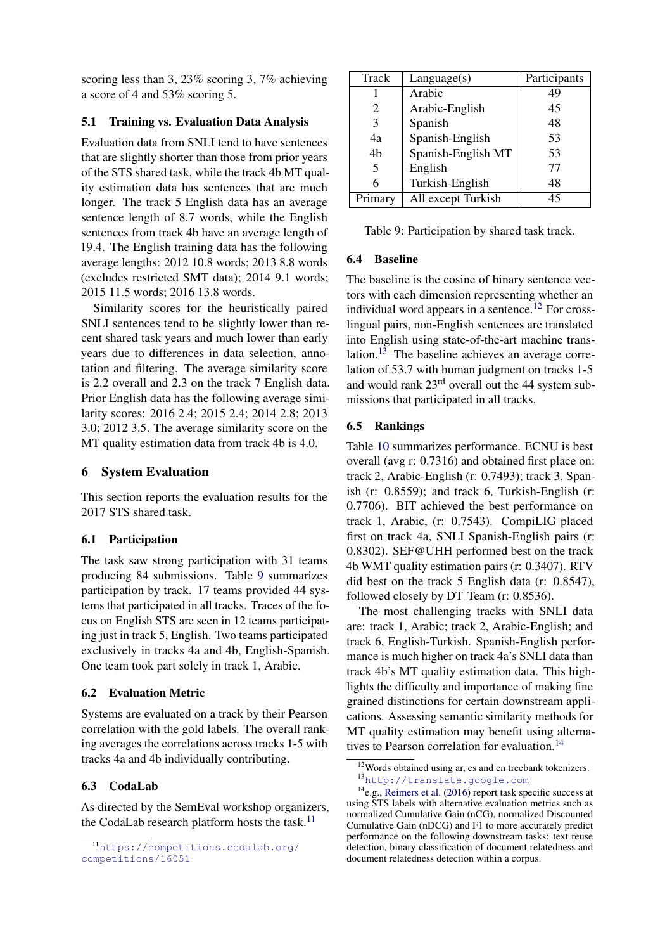scoring less than 3, 23% scoring 3, 7% achieving a score of 4 and 53% scoring 5.

## 5.1 Training vs. Evaluation Data Analysis

Evaluation data from SNLI tend to have sentences that are slightly shorter than those from prior years of the STS shared task, while the track 4b MT quality estimation data has sentences that are much longer. The track 5 English data has an average sentence length of 8.7 words, while the English sentences from track 4b have an average length of 19.4. The English training data has the following average lengths: 2012 10.8 words; 2013 8.8 words (excludes restricted SMT data); 2014 9.1 words; 2015 11.5 words; 2016 13.8 words.

Similarity scores for the heuristically paired SNLI sentences tend to be slightly lower than recent shared task years and much lower than early years due to differences in data selection, annotation and filtering. The average similarity score is 2.2 overall and 2.3 on the track 7 English data. Prior English data has the following average similarity scores: 2016 2.4; 2015 2.4; 2014 2.8; 2013 3.0; 2012 3.5. The average similarity score on the MT quality estimation data from track 4b is 4.0.

# 6 System Evaluation

This section reports the evaluation results for the 2017 STS shared task.

# 6.1 Participation

The task saw strong participation with 31 teams producing 84 submissions. Table [9](#page-4-0) summarizes participation by track. 17 teams provided 44 systems that participated in all tracks. Traces of the focus on English STS are seen in 12 teams participating just in track 5, English. Two teams participated exclusively in tracks 4a and 4b, English-Spanish. One team took part solely in track 1, Arabic.

## 6.2 Evaluation Metric

Systems are evaluated on a track by their Pearson correlation with the gold labels. The overall ranking averages the correlations across tracks 1-5 with tracks 4a and 4b individually contributing.

# 6.3 CodaLab

As directed by the SemEval workshop organizers, the CodaLab research platform hosts the task. $11$ 

<span id="page-4-0"></span>

| Track   | Language(s)        | Participants |
|---------|--------------------|--------------|
|         | Arabic             | 49           |
| 2       | Arabic-English     | 45           |
| 3       | Spanish            | 48           |
| 4a      | Spanish-English    | 53           |
| 4b      | Spanish-English MT | 53           |
| 5       | English            | 77           |
| 6       | Turkish-English    | 48           |
| Primary | All except Turkish | 45           |

Table 9: Participation by shared task track.

## 6.4 Baseline

The baseline is the cosine of binary sentence vectors with each dimension representing whether an individual word appears in a sentence.<sup>[12](#page-4-2)</sup> For crosslingual pairs, non-English sentences are translated into English using state-of-the-art machine trans-lation.<sup>[13](#page-4-3)</sup> The baseline achieves an average correlation of 53.7 with human judgment on tracks 1-5 and would rank 23rd overall out the 44 system submissions that participated in all tracks.

# 6.5 Rankings

Table [10](#page-5-0) summarizes performance. ECNU is best overall (avg r: 0.7316) and obtained first place on: track 2, Arabic-English (r: 0.7493); track 3, Spanish (r: 0.8559); and track 6, Turkish-English (r: 0.7706). BIT achieved the best performance on track 1, Arabic, (r: 0.7543). CompiLIG placed first on track 4a, SNLI Spanish-English pairs (r: 0.8302). SEF@UHH performed best on the track 4b WMT quality estimation pairs (r: 0.3407). RTV did best on the track 5 English data (r: 0.8547), followed closely by DT<sub>-Team</sub> (r: 0.8536).

The most challenging tracks with SNLI data are: track 1, Arabic; track 2, Arabic-English; and track 6, English-Turkish. Spanish-English performance is much higher on track 4a's SNLI data than track 4b's MT quality estimation data. This highlights the difficulty and importance of making fine grained distinctions for certain downstream applications. Assessing semantic similarity methods for MT quality estimation may benefit using alterna-tives to Pearson correlation for evaluation.<sup>[14](#page-4-4)</sup>

<span id="page-4-1"></span><sup>11</sup>[https://competitions.codalab.org/](https://competitions.codalab.org/competitions/16051) [competitions/16051](https://competitions.codalab.org/competitions/16051)

<span id="page-4-3"></span><span id="page-4-2"></span><sup>12</sup>Words obtained using ar, es and en treebank tokenizers. <sup>13</sup><http://translate.google.com>

<span id="page-4-4"></span> $14$ e.g., [Reimers et al.](#page-13-8) [\(2016\)](#page-13-8) report task specific success at using STS labels with alternative evaluation metrics such as normalized Cumulative Gain (nCG), normalized Discounted Cumulative Gain (nDCG) and F1 to more accurately predict performance on the following downstream tasks: text reuse detection, binary classification of document relatedness and document relatedness detection within a corpus.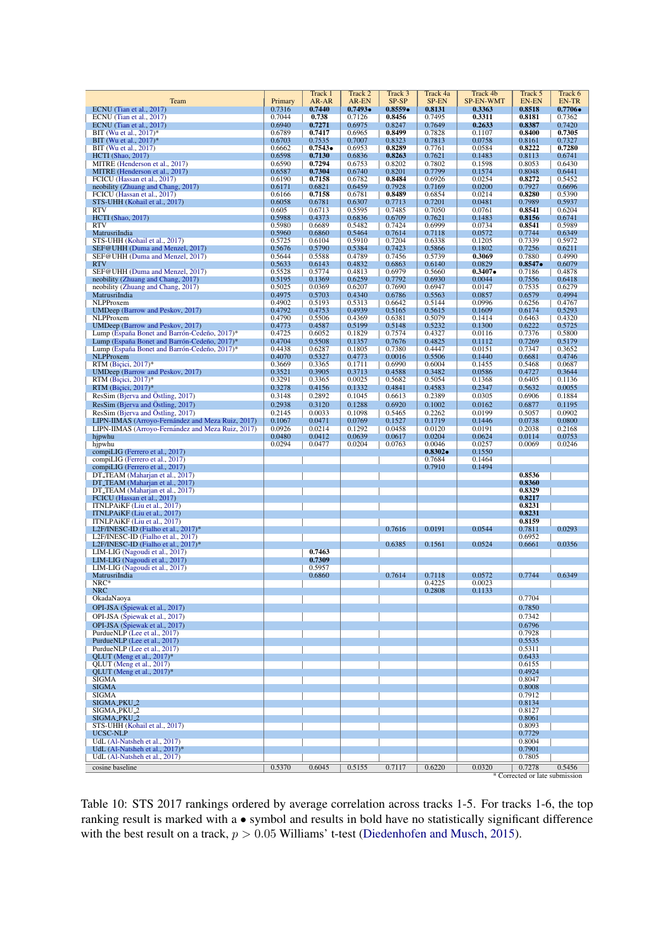<span id="page-5-0"></span>

| Team                                                                                         | Primary          | Track 1<br>AR-AR | Track 2<br>AR-EN | Track 3<br>SP-SP | Track 4a<br>SP-EN | Track 4b<br><b>SP-EN-WMT</b> | Track 5<br>EN-EN               | Track 6<br>EN-TR |
|----------------------------------------------------------------------------------------------|------------------|------------------|------------------|------------------|-------------------|------------------------------|--------------------------------|------------------|
| ECNU (Tian et al., 2017)                                                                     | 0.7316           | 0.7440           | 0.7493           | 0.8559           | 0.8131            | 0.3363                       | 0.8518                         | $0.7706\bullet$  |
| ECNU (Tian et al., 2017)                                                                     | 0.7044<br>0.6940 | 0.738            | 0.7126           | 0.8456<br>0.8247 | 0.7495<br>0.7649  | 0.3311                       | 0.8181                         | 0.7362<br>0.7420 |
| ECNU (Tian et al., 2017)<br>BIT (Wu et al., $2017$ )*                                        | 0.6789           | 0.7271<br>0.7417 | 0.6975<br>0.6965 | 0.8499           | 0.7828            | 0.2633<br>0.1107             | 0.8387<br>0.8400               | 0.7305           |
| BIT (Wu et al., 2017)*                                                                       | 0.6703           | 0.7535           | 0.7007           | 0.8323           | 0.7813            | 0.0758                       | 0.8161                         | 0.7327           |
| BIT (Wu et al., 2017)                                                                        | 0.6662           | $0.7543\bullet$  | 0.6953           | 0.8289           | 0.7761            | 0.0584                       | 0.8222                         | 0.7280           |
| $HCTI$ (Shao, 2017)<br>MITRE (Henderson et al., 2017)                                        | 0.6598<br>0.6590 | 0.7130<br>0.7294 | 0.6836<br>0.6753 | 0.8263<br>0.8202 | 0.7621<br>0.7802  | 0.1483<br>0.1598             | 0.8113<br>0.8053               | 0.6741<br>0.6430 |
| MITRE (Henderson et al., 2017)                                                               | 0.6587           | 0.7304           | 0.6740           | 0.8201           | 0.7799            | 0.1574                       | 0.8048                         | 0.6441           |
| FCICU (Hassan et al., 2017)                                                                  | 0.6190<br>0.6171 | 0.7158<br>0.6821 | 0.6782<br>0.6459 | 0.8484<br>0.7928 | 0.6926<br>0.7169  | 0.0254<br>0.0200             | 0.8272<br>0.7927               | 0.5452<br>0.6696 |
| neobility (Zhuang and Chang, 2017)<br>FCICU (Hassan et al., 2017)                            | 0.6166           | 0.7158           | 0.6781           | 0.8489           | 0.6854            | 0.0214                       | 0.8280                         | 0.5390           |
| STS-UHH (Kohail et al., 2017)                                                                | 0.6058           | 0.6781           | 0.6307           | 0.7713           | 0.7201            | 0.0481                       | 0.7989                         | 0.5937           |
| <b>RTV</b><br><b>HCTI</b> (Shao, 2017)                                                       | 0.605<br>0.5988  | 0.6713<br>0.4373 | 0.5595<br>0.6836 | 0.7485<br>0.6709 | 0.7050<br>0.7621  | 0.0761<br>0.1483             | 0.8541<br>0.8156               | 0.6204<br>0.6741 |
| <b>RTV</b>                                                                                   | 0.5980           | 0.6689           | 0.5482           | 0.7424           | 0.6999            | 0.0734                       | 0.8541                         | 0.5989           |
| MatrusriIndia                                                                                | 0.5960           | 0.6860           | 0.5464           | 0.7614           | 0.7118            | 0.0572                       | 0.7744                         | 0.6349           |
| STS-UHH (Kohail et al., 2017)<br>SEF@UHH (Duma and Menzel, 2017)                             | 0.5725<br>0.5676 | 0.6104<br>0.5790 | 0.5910<br>0.5384 | 0.7204<br>0.7423 | 0.6338<br>0.5866  | 0.1205<br>0.1802             | 0.7339<br>0.7256               | 0.5972<br>0.6211 |
| SEF@UHH (Duma and Menzel, 2017)                                                              | 0.5644           | 0.5588           | 0.4789           | 0.7456           | 0.5739            | 0.3069                       | 0.7880                         | 0.4990           |
| <b>RTV</b>                                                                                   | 0.5633           | 0.6143           | 0.4832           | 0.6863           | 0.6140            | 0.0829                       | 0.8547                         | 0.6079           |
| SEF@UHH (Duma and Menzel, 2017)<br>neobility (Zhuang and Chang, 2017)                        | 0.5528<br>0.5195 | 0.5774<br>0.1369 | 0.4813<br>0.6259 | 0.6979<br>0.7792 | 0.5660<br>0.6930  | $0.3407\bullet$<br>0.0044    | 0.7186<br>0.7556               | 0.4878<br>0.6418 |
| neobility (Zhuang and Chang, 2017)                                                           | 0.5025           | 0.0369           | 0.6207           | 0.7690           | 0.6947            | 0.0147                       | 0.7535                         | 0.6279           |
| MatrusriIndia                                                                                | 0.4975           | 0.5703           | 0.4340           | 0.6786           | 0.5563            | 0.0857                       | 0.6579                         | 0.4994           |
| NLPProxem<br>UMDeep (Barrow and Peskov, 2017)                                                | 0.4902<br>0.4792 | 0.5193<br>0.4753 | 0.5313<br>0.4939 | 0.6642<br>0.5165 | 0.5144<br>0.5615  | 0.0996<br>0.1609             | 0.6256<br>0.6174               | 0.4767<br>0.5293 |
| NLPProxem                                                                                    | 0.4790           | 0.5506           | 0.4369           | 0.6381           | 0.5079            | 0.1414                       | 0.6463                         | 0.4320           |
| UMDeep (Barrow and Peskov, 2017)                                                             | 0.4773           | 0.4587           | 0.5199           | 0.5148           | 0.5232            | 0.1300                       | 0.6222                         | 0.5725           |
| Lump (España Bonet and Barrón-Cedeño, 2017)*<br>Lump (España Bonet and Barrón-Cedeño, 2017)* | 0.4725<br>0.4704 | 0.6052<br>0.5508 | 0.1829<br>0.1357 | 0.7574<br>0.7676 | 0.4327<br>0.4825  | 0.0116<br>0.1112             | 0.7376<br>0.7269               | 0.5800<br>0.5179 |
| Lump (España Bonet and Barrón-Cedeño, 2017)*                                                 | 0.4438           | 0.6287           | 0.1805           | 0.7380           | 0.4447            | 0.0151                       | 0.7347                         | 0.3652           |
| <b>NLPProxem</b>                                                                             | 0.4070           | 0.5327           | 0.4773           | 0.0016           | 0.5506            | 0.1440                       | 0.6681                         | 0.4746           |
| RTM (Bicici, $2017$ )*<br>UMDeep (Barrow and Peskov, 2017)                                   | 0.3669<br>0.3521 | 0.3365<br>0.3905 | 0.1711<br>0.3713 | 0.6990<br>0.4588 | 0.6004<br>0.3482  | 0.1455<br>0.0586             | 0.5468<br>0.4727               | 0.0687<br>0.3644 |
| RTM (Bicici, 2017)*                                                                          | 0.3291           | 0.3365           | 0.0025           | 0.5682           | 0.5054            | 0.1368                       | 0.6405                         | 0.1136           |
| RTM (Bicici, 2017)*                                                                          | 0.3278           | 0.4156           | 0.1332           | 0.4841           | 0.4583            | 0.2347                       | 0.5632                         | 0.0055           |
| ResSim (Bjerva and Östling, 2017)                                                            | 0.3148           | 0.2892           | 0.1045           | 0.6613           | 0.2389            | 0.0305                       | 0.6906                         | 0.1884           |
| ResSim (Bjerva and Ostling, 2017)<br>ResSim (Bjerva and Ostling, 2017)                       | 0.2938<br>0.2145 | 0.3120<br>0.0033 | 0.1288<br>0.1098 | 0.6920<br>0.5465 | 0.1002<br>0.2262  | 0.0162<br>0.0199             | 0.6877<br>0.5057               | 0.1195<br>0.0902 |
| LIPN-IIMAS (Arroyo-Fernández and Meza Ruiz, 2017)                                            | 0.1067           | 0.0471           | 0.0769           | 0.1527           | 0.1719            | 0.1446                       | 0.0738                         | 0.0800           |
| LIPN-IIMAS (Arroyo-Fernández and Meza Ruiz, 2017)                                            | 0.0926           | 0.0214           | 0.1292           | 0.0458           | 0.0120            | 0.0191                       | 0.2038                         | 0.2168           |
| hjpwhu<br>hjpwhu                                                                             | 0.0480<br>0.0294 | 0.0412<br>0.0477 | 0.0639<br>0.0204 | 0.0617<br>0.0763 | 0.0204<br>0.0046  | 0.0624<br>0.0257             | 0.0114<br>0.0069               | 0.0753<br>0.0246 |
| compiLIG (Ferrero et al., 2017)                                                              |                  |                  |                  |                  | $0.8302\bullet$   | 0.1550                       |                                |                  |
| compiLIG (Ferrero et al., 2017)                                                              |                  |                  |                  |                  | 0.7684            | 0.1464                       |                                |                  |
| compiLIG (Ferrero et al., 2017)<br>DT_TEAM (Maharjan et al., 2017)                           |                  |                  |                  |                  | 0.7910            | 0.1494                       | 0.8536                         |                  |
| DT_TEAM (Maharjan et al., 2017)                                                              |                  |                  |                  |                  |                   |                              | 0.8360                         |                  |
| DT_TEAM (Maharjan et al., 2017)                                                              |                  |                  |                  |                  |                   |                              | 0.8329                         |                  |
| FCICU (Hassan et al., 2017)<br>ITNLPAIKF (Liu et al., 2017)                                  |                  |                  |                  |                  |                   |                              | 0.8217<br>0.8231               |                  |
| ITNLPAiKF (Liu et al., 2017)                                                                 |                  |                  |                  |                  |                   |                              | 0.8231                         |                  |
| ITNLPAIKF (Liu et al., 2017)                                                                 |                  |                  |                  |                  |                   |                              | 0.8159                         | 0.0293           |
| L2F/INESC-ID (Fialho et al., $2017$ )*<br>L2F/INESC-ID (Fialho et al., 2017)                 |                  |                  |                  | 0.7616           | 0.0191            | 0.0544                       | 0.7811<br>0.6952               |                  |
| L2F/INESC-ID (Fialho et al., 2017)*                                                          |                  |                  |                  | 0.6385           | 0.1561            | 0.0524                       | 0.6661                         | 0.0356           |
| LIM-LIG (Nagoudi et al., 2017)<br>LIM-LIG (Nagoudi et al., 2017)                             |                  | 0.7463<br>0.7309 |                  |                  |                   |                              |                                |                  |
| LIM-LIG (Nagoudi et al., 2017)                                                               |                  | 0.5957           |                  |                  |                   |                              |                                |                  |
| MatrusriIndia                                                                                |                  | 0.6860           |                  | 0.7614           | 0.7118            | 0.0572                       | 0.7744                         | 0.6349           |
| $NRC*$<br><b>NRC</b>                                                                         |                  |                  |                  |                  | 0.4225<br>0.2808  | 0.0023<br>0.1133             |                                |                  |
| OkadaNaoya                                                                                   |                  |                  |                  |                  |                   |                              | 0.7704                         |                  |
| OPI-JSA (Śpiewak et al., 2017)                                                               |                  |                  |                  |                  |                   |                              | 0.7850                         |                  |
| OPI-JSA (Śpiewak et al., 2017)                                                               |                  |                  |                  |                  |                   |                              | 0.7342                         |                  |
| OPI-JSA (Śpiewak et al., 2017)<br>PurdueNLP (Lee et al., 2017)                               |                  |                  |                  |                  |                   |                              | 0.6796<br>0.7928               |                  |
| PurdueNLP (Lee et al., 2017)                                                                 |                  |                  |                  |                  |                   |                              | 0.5535                         |                  |
| PurdueNLP (Lee et al., 2017)                                                                 |                  |                  |                  |                  |                   |                              | 0.5311                         |                  |
| QLUT (Meng et al., 2017)*<br>QLUT (Meng et al., 2017)                                        |                  |                  |                  |                  |                   |                              | 0.6433<br>0.6155               |                  |
| QLUT (Meng et al., 2017)*                                                                    |                  |                  |                  |                  |                   |                              | 0.4924                         |                  |
| <b>SIGMA</b>                                                                                 |                  |                  |                  |                  |                   |                              | 0.8047                         |                  |
| <b>SIGMA</b><br><b>SIGMA</b>                                                                 |                  |                  |                  |                  |                   |                              | 0.8008<br>0.7912               |                  |
| SIGMA_PKU_2                                                                                  |                  |                  |                  |                  |                   |                              | 0.8134                         |                  |
| SIGMA_PKU_2                                                                                  |                  |                  |                  |                  |                   |                              | 0.8127                         |                  |
| SIGMA_PKU_2<br>STS-UHH (Kohail et al., 2017)                                                 |                  |                  |                  |                  |                   |                              | 0.8061<br>0.8093               |                  |
| UCSC-NLP                                                                                     |                  |                  |                  |                  |                   |                              | 0.7729                         |                  |
| UdL (Al-Natsheh et al., 2017)                                                                |                  |                  |                  |                  |                   |                              | 0.8004                         |                  |
| UdL (Al-Natsheh et al., 2017)*<br>UdL (Al-Natsheh et al., 2017)                              |                  |                  |                  |                  |                   |                              | 0.7901<br>0.7805               |                  |
| cosine baseline                                                                              | 0.5370           | 0.6045           | 0.5155           | 0.7117           | 0.6220            | 0.0320                       | 0.7278                         | 0.5456           |
|                                                                                              |                  |                  |                  |                  |                   |                              | * Corrected or late submission |                  |

Table 10: STS 2017 rankings ordered by average correlation across tracks 1-5. For tracks 1-6, the top ranking result is marked with a • symbol and results in bold have no statistically significant difference with the best result on a track,  $p > 0.05$  Williams' t-test [\(Diedenhofen and Musch,](#page-11-18) [2015\)](#page-11-18).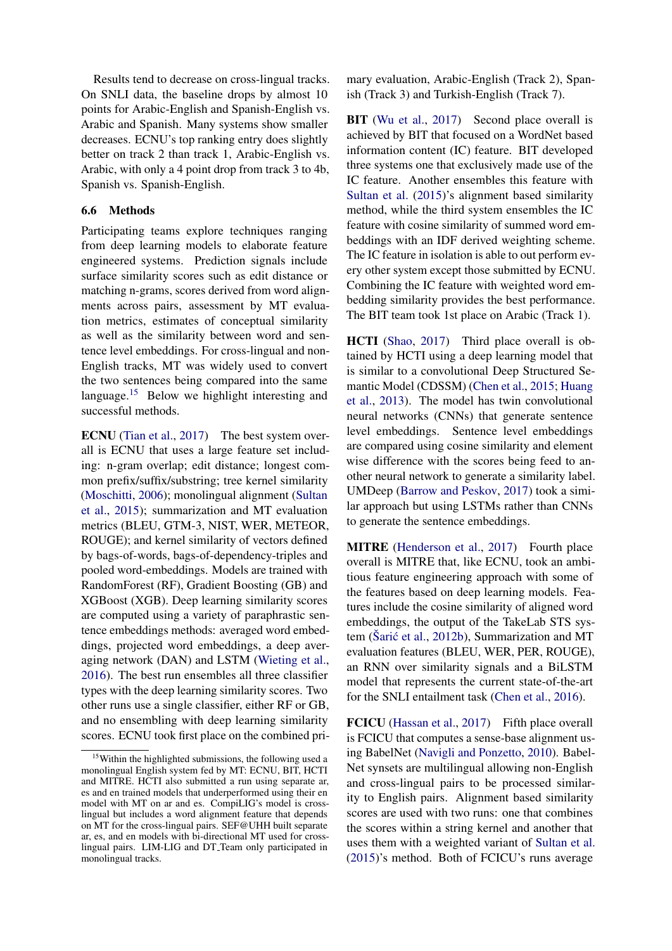Results tend to decrease on cross-lingual tracks. On SNLI data, the baseline drops by almost 10 points for Arabic-English and Spanish-English vs. Arabic and Spanish. Many systems show smaller decreases. ECNU's top ranking entry does slightly better on track 2 than track 1, Arabic-English vs. Arabic, with only a 4 point drop from track 3 to 4b, Spanish vs. Spanish-English.

### 6.6 Methods

Participating teams explore techniques ranging from deep learning models to elaborate feature engineered systems. Prediction signals include surface similarity scores such as edit distance or matching n-grams, scores derived from word alignments across pairs, assessment by MT evaluation metrics, estimates of conceptual similarity as well as the similarity between word and sentence level embeddings. For cross-lingual and non-English tracks, MT was widely used to convert the two sentences being compared into the same language.[15](#page-6-0) Below we highlight interesting and successful methods.

ECNU [\(Tian et al.,](#page-13-9) [2017\)](#page-13-9) The best system overall is ECNU that uses a large feature set including: n-gram overlap; edit distance; longest common prefix/suffix/substring; tree kernel similarity [\(Moschitti,](#page-12-13) [2006\)](#page-12-13); monolingual alignment [\(Sultan](#page-13-2) [et al.,](#page-13-2) [2015\)](#page-13-2); summarization and MT evaluation metrics (BLEU, GTM-3, NIST, WER, METEOR, ROUGE); and kernel similarity of vectors defined by bags-of-words, bags-of-dependency-triples and pooled word-embeddings. Models are trained with RandomForest (RF), Gradient Boosting (GB) and XGBoost (XGB). Deep learning similarity scores are computed using a variety of paraphrastic sentence embeddings methods: averaged word embeddings, projected word embeddings, a deep averaging network (DAN) and LSTM [\(Wieting et al.,](#page-13-14) [2016\)](#page-13-14). The best run ensembles all three classifier types with the deep learning similarity scores. Two other runs use a single classifier, either RF or GB, and no ensembling with deep learning similarity scores. ECNU took first place on the combined pri-

mary evaluation, Arabic-English (Track 2), Spanish (Track 3) and Turkish-English (Track 7).

BIT [\(Wu et al.,](#page-13-10) [2017\)](#page-13-10) Second place overall is achieved by BIT that focused on a WordNet based information content (IC) feature. BIT developed three systems one that exclusively made use of the IC feature. Another ensembles this feature with [Sultan et al.](#page-13-2) [\(2015\)](#page-13-2)'s alignment based similarity method, while the third system ensembles the IC feature with cosine similarity of summed word embeddings with an IDF derived weighting scheme. The IC feature in isolation is able to out perform every other system except those submitted by ECNU. Combining the IC feature with weighted word embedding similarity provides the best performance. The BIT team took 1st place on Arabic (Track 1).

HCTI [\(Shao,](#page-13-11) [2017\)](#page-13-11) Third place overall is obtained by HCTI using a deep learning model that is similar to a convolutional Deep Structured Semantic Model (CDSSM) [\(Chen et al.,](#page-11-19) [2015;](#page-11-19) [Huang](#page-12-14) [et al.,](#page-12-14) [2013\)](#page-12-14). The model has twin convolutional neural networks (CNNs) that generate sentence level embeddings. Sentence level embeddings are compared using cosine similarity and element wise difference with the scores being feed to another neural network to generate a similarity label. UMDeep [\(Barrow and Peskov,](#page-11-11) [2017\)](#page-11-11) took a similar approach but using LSTMs rather than CNNs to generate the sentence embeddings.

MITRE [\(Henderson et al.,](#page-12-5) [2017\)](#page-12-5) Fourth place overall is MITRE that, like ECNU, took an ambitious feature engineering approach with some of the features based on deep learning models. Features include the cosine similarity of aligned word embeddings, the output of the TakeLab STS system (Šarić et al.,  $2012b$ ), Summarization and MT evaluation features (BLEU, WER, PER, ROUGE), an RNN over similarity signals and a BiLSTM model that represents the current state-of-the-art for the SNLI entailment task [\(Chen et al.,](#page-11-20) [2016\)](#page-11-20).

FCICU [\(Hassan et al.,](#page-12-6) [2017\)](#page-12-6) Fifth place overall is FCICU that computes a sense-base alignment using BabelNet [\(Navigli and Ponzetto,](#page-13-16) [2010\)](#page-13-16). Babel-Net synsets are multilingual allowing non-English and cross-lingual pairs to be processed similarity to English pairs. Alignment based similarity scores are used with two runs: one that combines the scores within a string kernel and another that uses them with a weighted variant of [Sultan et al.](#page-13-2) [\(2015\)](#page-13-2)'s method. Both of FCICU's runs average

<span id="page-6-0"></span><sup>&</sup>lt;sup>15</sup>Within the highlighted submissions, the following used a monolingual English system fed by MT: ECNU, BIT, HCTI and MITRE. HCTI also submitted a run using separate ar, es and en trained models that underperformed using their en model with MT on ar and es. CompiLIG's model is crosslingual but includes a word alignment feature that depends on MT for the cross-lingual pairs. SEF@UHH built separate ar, es, and en models with bi-directional MT used for crosslingual pairs. LIM-LIG and DT<sub>-</sub>Team only participated in monolingual tracks.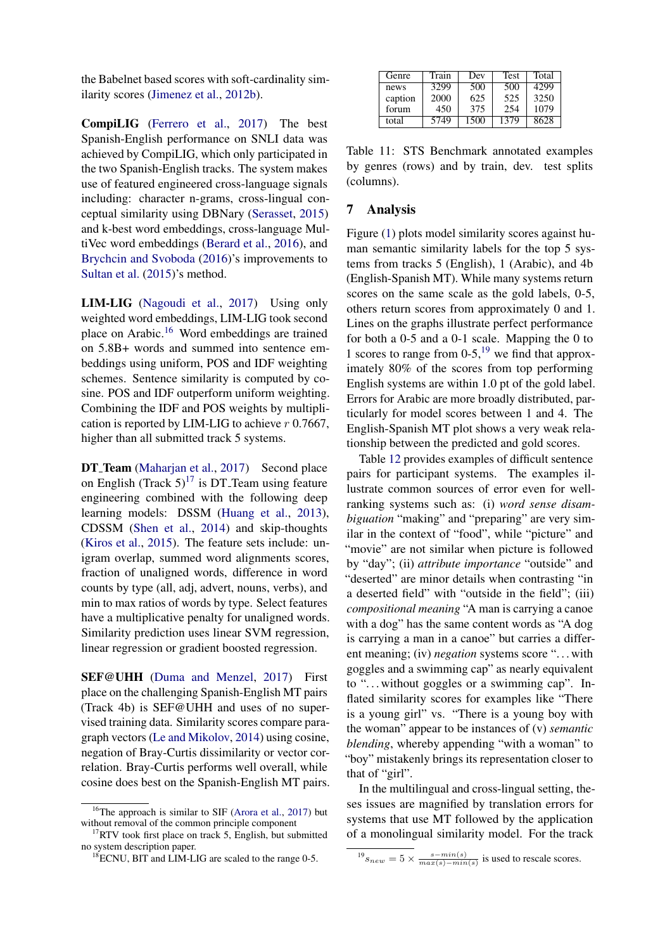the Babelnet based scores with soft-cardinality similarity scores [\(Jimenez et al.,](#page-12-15) [2012b\)](#page-12-15).

CompiLIG [\(Ferrero et al.,](#page-11-16) [2017\)](#page-11-16) The best Spanish-English performance on SNLI data was achieved by CompiLIG, which only participated in the two Spanish-English tracks. The system makes use of featured engineered cross-language signals including: character n-grams, cross-lingual conceptual similarity using DBNary [\(Serasset,](#page-13-17) [2015\)](#page-13-17) and k-best word embeddings, cross-language MultiVec word embeddings [\(Berard et al.,](#page-11-21) [2016\)](#page-11-21), and [Brychcin and Svoboda](#page-11-22) [\(2016\)](#page-11-22)'s improvements to [Sultan et al.](#page-13-2) [\(2015\)](#page-13-2)'s method.

LIM-LIG [\(Nagoudi et al.,](#page-12-10) [2017\)](#page-12-10) Using only weighted word embeddings, LIM-LIG took second place on Arabic.[16](#page-7-0) Word embeddings are trained on 5.8B+ words and summed into sentence embeddings using uniform, POS and IDF weighting schemes. Sentence similarity is computed by cosine. POS and IDF outperform uniform weighting. Combining the IDF and POS weights by multiplication is reported by LIM-LIG to achieve  $r$  0.7667, higher than all submitted track 5 systems.

DT\_Team [\(Maharjan et al.,](#page-12-8) [2017\)](#page-12-8) Second place on English (Track  $5)^{17}$  $5)^{17}$  $5)^{17}$  is DT\_Team using feature engineering combined with the following deep learning models: DSSM [\(Huang et al.,](#page-12-14) [2013\)](#page-12-14), CDSSM [\(Shen et al.,](#page-13-18) [2014\)](#page-13-18) and skip-thoughts [\(Kiros et al.,](#page-12-16) [2015\)](#page-12-16). The feature sets include: unigram overlap, summed word alignments scores, fraction of unaligned words, difference in word counts by type (all, adj, advert, nouns, verbs), and min to max ratios of words by type. Select features have a multiplicative penalty for unaligned words. Similarity prediction uses linear SVM regression, linear regression or gradient boosted regression.

SEF@UHH [\(Duma and Menzel,](#page-11-10) [2017\)](#page-11-10) First place on the challenging Spanish-English MT pairs (Track 4b) is SEF@UHH and uses of no supervised training data. Similarity scores compare paragraph vectors [\(Le and Mikolov,](#page-12-17) [2014\)](#page-12-17) using cosine, negation of Bray-Curtis dissimilarity or vector correlation. Bray-Curtis performs well overall, while cosine does best on the Spanish-English MT pairs.

<span id="page-7-4"></span>

| Genre   | Train | Dev  | <b>Test</b> | Total |
|---------|-------|------|-------------|-------|
| news    | 3299  | 500  | 500         | 4299  |
| caption | 2000  | 625  | 525         | 3250  |
| forum   | 450   | 375  | 254         | 1079  |
| total   | 5749  | 1500 | 1379        | 8628  |

Table 11: STS Benchmark annotated examples by genres (rows) and by train, dev. test splits (columns).

### 7 Analysis

Figure [\(1\)](#page-8-0) plots model similarity scores against human semantic similarity labels for the top 5 systems from tracks 5 (English), 1 (Arabic), and 4b (English-Spanish MT). While many systems return scores on the same scale as the gold labels, 0-5, others return scores from approximately 0 and 1. Lines on the graphs illustrate perfect performance for both a 0-5 and a 0-1 scale. Mapping the 0 to 1 scores to range from  $0-5$ ,<sup>[19](#page-7-2)</sup> we find that approximately 80% of the scores from top performing English systems are within 1.0 pt of the gold label. Errors for Arabic are more broadly distributed, particularly for model scores between 1 and 4. The English-Spanish MT plot shows a very weak relationship between the predicted and gold scores.

Table [12](#page-8-1) provides examples of difficult sentence pairs for participant systems. The examples illustrate common sources of error even for wellranking systems such as: (i) *word sense disambiguation* "making" and "preparing" are very similar in the context of "food", while "picture" and "movie" are not similar when picture is followed by "day"; (ii) *attribute importance* "outside" and "deserted" are minor details when contrasting "in a deserted field" with "outside in the field"; (iii) *compositional meaning* "A man is carrying a canoe with a dog" has the same content words as "A dog" is carrying a man in a canoe" but carries a different meaning; (iv) *negation* systems score "... with goggles and a swimming cap" as nearly equivalent to "... without goggles or a swimming cap". Inflated similarity scores for examples like "There is a young girl" vs. "There is a young boy with the woman" appear to be instances of (v) *semantic blending*, whereby appending "with a woman" to "boy" mistakenly brings its representation closer to that of "girl".

In the multilingual and cross-lingual setting, theses issues are magnified by translation errors for systems that use MT followed by the application of a monolingual similarity model. For the track

<span id="page-7-0"></span><sup>&</sup>lt;sup>16</sup>The approach is similar to SIF [\(Arora et al.,](#page-11-23) [2017\)](#page-11-23) but without removal of the common principle component

<span id="page-7-1"></span> $17$ RTV took first place on track 5, English, but submitted no system description paper.

<span id="page-7-3"></span><sup>&</sup>lt;sup>18</sup>ECNU, BIT and LIM-LIG are scaled to the range 0-5.

<span id="page-7-2"></span> $^{19}s_{new} = 5 \times \frac{s-min(s)}{max(s)-min(s)}$  is used to rescale scores.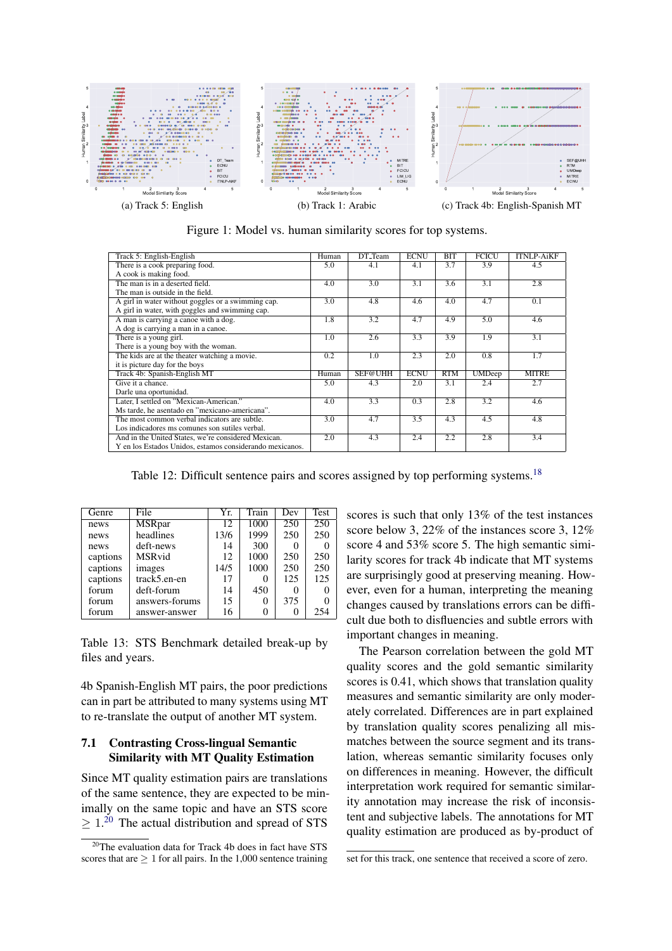<span id="page-8-0"></span>

Figure 1: Model vs. human similarity scores for top systems.

<span id="page-8-1"></span>

| Track 5: English-English                                 | Human | DT_Team | <b>ECNU</b> | BIT | <b>FCICU</b>  | <b>ITNLP-AiKF</b> |
|----------------------------------------------------------|-------|---------|-------------|-----|---------------|-------------------|
| There is a cook preparing food.                          | 5.0   | 4.1     | 4.1         | 3.7 | 3.9           | 4.5               |
| A cook is making food.                                   |       |         |             |     |               |                   |
| The man is in a deserted field.                          | 4.0   | 3.0     | 3.1         | 3.6 | 3.1           | 2.8               |
| The man is outside in the field.                         |       |         |             |     |               |                   |
| A girl in water without goggles or a swimming cap.       | 3.0   | 4.8     | 4.6         | 4.0 | 4.7           | 0.1               |
| A girl in water, with goggles and swimming cap.          |       |         |             |     |               |                   |
| A man is carrying a canoe with a dog.                    | 1.8   | 3.2     | 4.7         | 4.9 | 5.0           | 4.6               |
| A dog is carrying a man in a canoe.                      |       |         |             |     |               |                   |
| There is a young girl.                                   | 1.0   | 2.6     | 3.3         | 3.9 | 1.9           | 3.1               |
| There is a young boy with the woman.                     |       |         |             |     |               |                   |
| The kids are at the theater watching a movie.            | 0.2   | 1.0     | 2.3         | 2.0 | 0.8           | 1.7               |
| it is picture day for the boys                           |       |         |             |     |               |                   |
| Track 4b: Spanish-English MT                             | Human | SEF@UHH | <b>ECNU</b> | RTM | <b>UMDeep</b> | <b>MITRE</b>      |
| Give it a chance.                                        | 5.0   | 4.3     | 2.0         | 3.1 | 2.4           | 2.7               |
| Darle una oportunidad.                                   |       |         |             |     |               |                   |
| Later, I settled on "Mexican-American."                  | 4.0   | 3.3     | 0.3         | 2.8 | 3.2           | 4.6               |
| Ms tarde, he asentado en "mexicano-americana".           |       |         |             |     |               |                   |
| The most common verbal indicators are subtle.            | 3.0   | 4.7     | 3.5         | 4.3 | 4.5           | 4.8               |
| Los indicadores ms comunes son sutiles verbal.           |       |         |             |     |               |                   |
| And in the United States, we're considered Mexican.      | 2.0   | 4.3     | 2.4         | 2.2 | 2.8           | 3.4               |
| Y en los Estados Unidos, estamos considerando mexicanos. |       |         |             |     |               |                   |

Table 12: Difficult sentence pairs and scores assigned by top performing systems.<sup>[18](#page-7-3)</sup>

<span id="page-8-3"></span>

| Genre    | File           | Yr.  | Train    | Dev | Test |
|----------|----------------|------|----------|-----|------|
| news     | <b>MSRpar</b>  | 12   | 1000     | 250 | 250  |
| news     | headlines      | 13/6 | 1999     | 250 | 250  |
| news     | deft-news      | 14   | 300      |     |      |
| captions | <b>MSR</b> vid | 12   | 1000     | 250 | 250  |
| captions | images         | 14/5 | 1000     | 250 | 250  |
| captions | track5.en-en   | 17   | 0        | 125 | 125  |
| forum    | deft-forum     | 14   | 450      |     |      |
| forum    | answers-forums | 15   | 0        | 375 |      |
| forum    | answer-answer  | 16   | $\theta$ |     | 254  |

Table 13: STS Benchmark detailed break-up by files and years.

4b Spanish-English MT pairs, the poor predictions can in part be attributed to many systems using MT to re-translate the output of another MT system.

## 7.1 Contrasting Cross-lingual Semantic Similarity with MT Quality Estimation

Since MT quality estimation pairs are translations of the same sentence, they are expected to be minimally on the same topic and have an STS score  $\geq 1.^{20}$  $\geq 1.^{20}$  $\geq 1.^{20}$  The actual distribution and spread of STS

scores is such that only 13% of the test instances score below 3, 22% of the instances score 3, 12% score 4 and 53% score 5. The high semantic similarity scores for track 4b indicate that MT systems are surprisingly good at preserving meaning. However, even for a human, interpreting the meaning changes caused by translations errors can be difficult due both to disfluencies and subtle errors with important changes in meaning.

The Pearson correlation between the gold MT quality scores and the gold semantic similarity scores is 0.41, which shows that translation quality measures and semantic similarity are only moderately correlated. Differences are in part explained by translation quality scores penalizing all mismatches between the source segment and its translation, whereas semantic similarity focuses only on differences in meaning. However, the difficult interpretation work required for semantic similarity annotation may increase the risk of inconsistent and subjective labels. The annotations for MT quality estimation are produced as by-product of

<span id="page-8-2"></span><sup>20</sup>The evaluation data for Track 4b does in fact have STS scores that are  $\geq 1$  for all pairs. In the 1,000 sentence training

set for this track, one sentence that received a score of zero.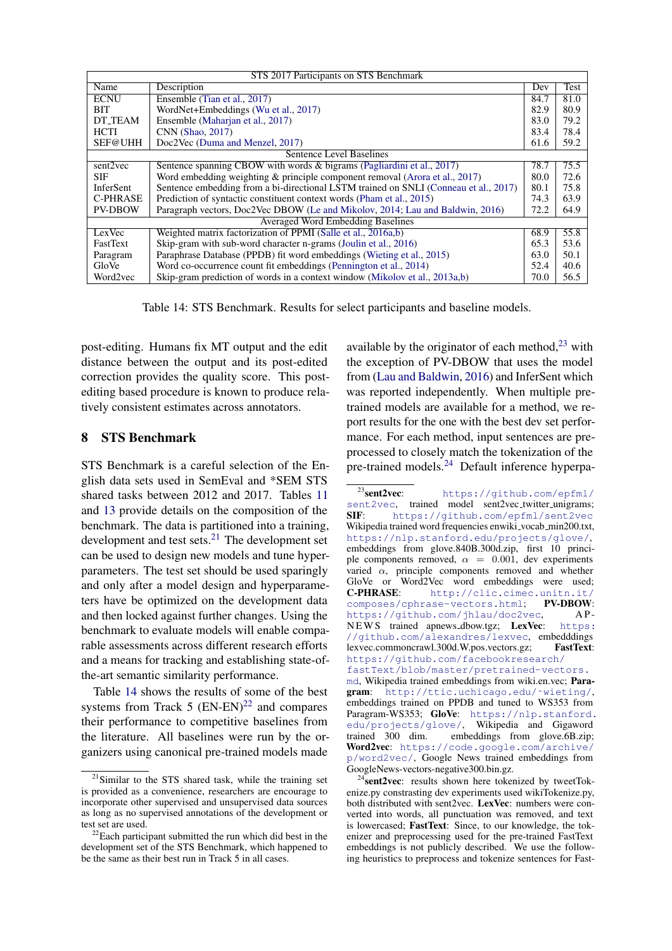<span id="page-9-1"></span>

| STS 2017 Participants on STS Benchmark   |                                                                                      |      |      |  |  |
|------------------------------------------|--------------------------------------------------------------------------------------|------|------|--|--|
| Name                                     | Description                                                                          |      | Test |  |  |
| <b>ECNU</b>                              | Ensemble (Tian et al., 2017)                                                         |      |      |  |  |
| <b>BIT</b>                               | WordNet+Embeddings (Wu et al., 2017)<br>82.9                                         |      |      |  |  |
| DT_TEAM                                  | Ensemble (Maharian et al., 2017)<br>83.0                                             |      |      |  |  |
| <b>HCTI</b>                              | CNN (Shao, 2017)<br>83.4                                                             |      |      |  |  |
| SEF@UHH                                  | Doc2Vec (Duma and Menzel, 2017)                                                      | 61.6 | 59.2 |  |  |
| <b>Sentence Level Baselines</b>          |                                                                                      |      |      |  |  |
| sent2vec                                 | Sentence spanning CBOW with words & bigrams (Pagliardini et al., 2017)               |      | 75.5 |  |  |
| <b>SIF</b>                               | Word embedding weighting $\&$ principle component removal (Arora et al., 2017)       |      | 72.6 |  |  |
| InferSent                                | Sentence embedding from a bi-directional LSTM trained on SNLI (Conneau et al., 2017) |      |      |  |  |
| <b>C-PHRASE</b>                          | Prediction of syntactic constituent context words (Pham et al., 2015)                |      |      |  |  |
| <b>PV-DBOW</b>                           | Paragraph vectors, Doc2Vec DBOW (Le and Mikolov, 2014; Lau and Baldwin, 2016)        | 72.2 | 64.9 |  |  |
| <b>Averaged Word Embedding Baselines</b> |                                                                                      |      |      |  |  |
| LexVec                                   | Weighted matrix factorization of PPMI (Salle et al., 2016a,b)                        | 68.9 | 55.8 |  |  |
| <b>FastText</b>                          | Skip-gram with sub-word character n-grams (Joulin et al., 2016)                      |      | 53.6 |  |  |
| Paragram                                 | Paraphrase Database (PPDB) fit word embeddings (Wieting et al., 2015)                |      |      |  |  |
| GloVe                                    | Word co-occurrence count fit embeddings (Pennington et al., 2014)                    |      | 40.6 |  |  |
| Word2yec                                 | Skip-gram prediction of words in a context window (Mikolov et al., 2013a,b)          | 70.0 | 56.5 |  |  |

Table 14: STS Benchmark. Results for select participants and baseline models.

post-editing. Humans fix MT output and the edit distance between the output and its post-edited correction provides the quality score. This postediting based procedure is known to produce relatively consistent estimates across annotators.

# 8 STS Benchmark

STS Benchmark is a careful selection of the English data sets used in SemEval and \*SEM STS shared tasks between 2012 and 2017. Tables [11](#page-7-4) and [13](#page-8-3) provide details on the composition of the benchmark. The data is partitioned into a training, development and test sets. $2<sup>1</sup>$  The development set can be used to design new models and tune hyperparameters. The test set should be used sparingly and only after a model design and hyperparameters have be optimized on the development data and then locked against further changes. Using the benchmark to evaluate models will enable comparable assessments across different research efforts and a means for tracking and establishing state-ofthe-art semantic similarity performance.

Table [14](#page-9-1) shows the results of some of the best systems from Track  $5$  (EN-EN)<sup>[22](#page-9-2)</sup> and compares their performance to competitive baselines from the literature. All baselines were run by the organizers using canonical pre-trained models made

available by the originator of each method, $^{23}$  $^{23}$  $^{23}$  with the exception of PV-DBOW that uses the model from [\(Lau and Baldwin,](#page-12-18) [2016\)](#page-12-18) and InferSent which was reported independently. When multiple pretrained models are available for a method, we report results for the one with the best dev set performance. For each method, input sentences are preprocessed to closely match the tokenization of the pre-trained models.[24](#page-9-4) Default inference hyperpa-

<span id="page-9-0"></span> $21$ Similar to the STS shared task, while the training set is provided as a convenience, researchers are encourage to incorporate other supervised and unsupervised data sources as long as no supervised annotations of the development or test set are used.

<span id="page-9-2"></span><sup>&</sup>lt;sup>22</sup>Each participant submitted the run which did best in the development set of the STS Benchmark, which happened to be the same as their best run in Track 5 in all cases.

<span id="page-9-3"></span><sup>23</sup>sent2vec: [https://github.com/epfml/](https://github.com/epfml/sent2vec) [sent2vec](https://github.com/epfml/sent2vec), trained model sent2vec\_twitter\_unigrams; SIF: <https://github.com/epfml/sent2vec> Wikipedia trained word frequencies enwiki\_vocab\_min200.txt, <https://nlp.stanford.edu/projects/glove/>, embeddings from glove.840B.300d.zip, first 10 principle components removed,  $\alpha = 0.001$ , dev experiments varied  $\alpha$ , principle components removed and whether GloVe or Word2Vec word embeddings were used; C-PHRASE: [http://clic.cimec.unitn.it/](http://clic.cimec.unitn.it/composes/cphrase-vectors.html)<br>composes/cphrase-vectors.html: PV-DBOW: [composes/cphrase-vectors.html](http://clic.cimec.unitn.it/composes/cphrase-vectors.html); <https://github.com/jhlau/doc2vec>, APNEWS trained apnews\_dbow.tgz; LexVec: [https:](https://github.com/alexandres/lexvec) [//github.com/alexandres/lexvec](https://github.com/alexandres/lexvec), embedddings lexvec.commoncrawl.300d.W.pos.vectors.gz; FastText: [https://github.com/facebookresearch/](https://github.com/facebookresearch/fastText/blob/master/pretrained-vectors.md) [fastText/blob/master/pretrained-vectors.](https://github.com/facebookresearch/fastText/blob/master/pretrained-vectors.md)

[md](https://github.com/facebookresearch/fastText/blob/master/pretrained-vectors.md), Wikipedia trained embeddings from wiki.en.vec; Paragram: [http://ttic.uchicago.edu/˜wieting/](http://ttic.uchicago.edu/~wieting/), embeddings trained on PPDB and tuned to WS353 from Paragram-WS353; GloVe: [https://nlp.stanford.](https://nlp.stanford.edu/projects/glove/) [edu/projects/glove/](https://nlp.stanford.edu/projects/glove/), Wikipedia and Gigaword embeddings from glove.6B.zip; Word2vec: [https://code.google.com/archive/](https://code.google.com/archive/p/word2vec/) [p/word2vec/](https://code.google.com/archive/p/word2vec/), Google News trained embeddings from GoogleNews-vectors-negative300.bin.gz.

<span id="page-9-4"></span><sup>&</sup>lt;sup>4</sup>sent2vec: results shown here tokenized by tweetTokenize.py constrasting dev experiments used wikiTokenize.py, both distributed with sent2vec. LexVec: numbers were converted into words, all punctuation was removed, and text is lowercased; FastText: Since, to our knowledge, the tokenizer and preprocessing used for the pre-trained FastText embeddings is not publicly described. We use the following heuristics to preprocess and tokenize sentences for Fast-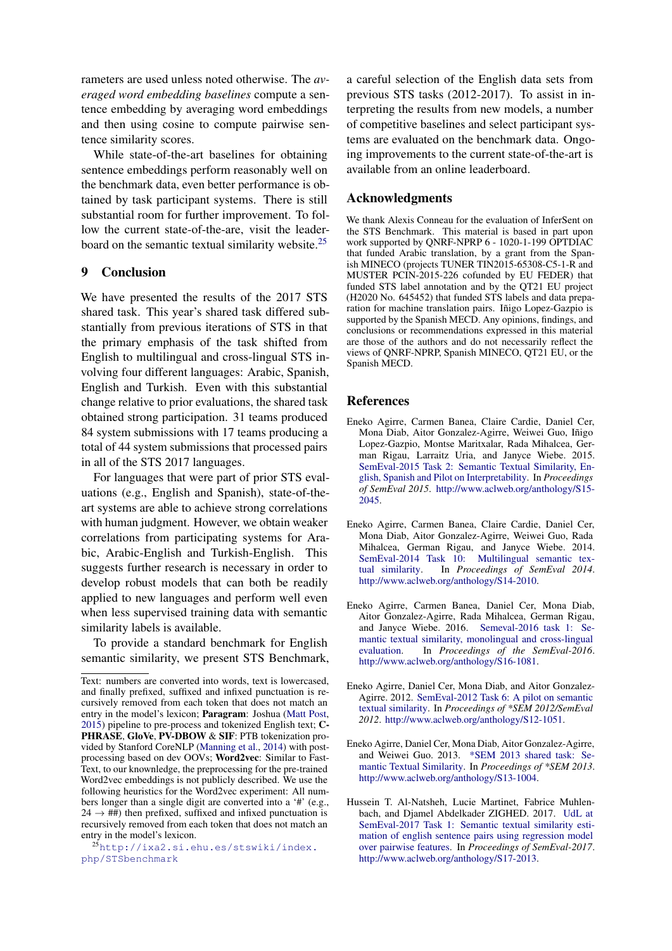rameters are used unless noted otherwise. The *averaged word embedding baselines* compute a sentence embedding by averaging word embeddings and then using cosine to compute pairwise sentence similarity scores.

While state-of-the-art baselines for obtaining sentence embeddings perform reasonably well on the benchmark data, even better performance is obtained by task participant systems. There is still substantial room for further improvement. To follow the current state-of-the-are, visit the leader-board on the semantic textual similarity website.<sup>[25](#page-10-6)</sup>

## 9 Conclusion

We have presented the results of the 2017 STS shared task. This year's shared task differed substantially from previous iterations of STS in that the primary emphasis of the task shifted from English to multilingual and cross-lingual STS involving four different languages: Arabic, Spanish, English and Turkish. Even with this substantial change relative to prior evaluations, the shared task obtained strong participation. 31 teams produced 84 system submissions with 17 teams producing a total of 44 system submissions that processed pairs in all of the STS 2017 languages.

For languages that were part of prior STS evaluations (e.g., English and Spanish), state-of-theart systems are able to achieve strong correlations with human judgment. However, we obtain weaker correlations from participating systems for Arabic, Arabic-English and Turkish-English. This suggests further research is necessary in order to develop robust models that can both be readily applied to new languages and perform well even when less supervised training data with semantic similarity labels is available.

To provide a standard benchmark for English semantic similarity, we present STS Benchmark,

a careful selection of the English data sets from previous STS tasks (2012-2017). To assist in interpreting the results from new models, a number of competitive baselines and select participant systems are evaluated on the benchmark data. Ongoing improvements to the current state-of-the-art is available from an online leaderboard.

## Acknowledgments

We thank Alexis Conneau for the evaluation of InferSent on the STS Benchmark. This material is based in part upon work supported by QNRF-NPRP 6 - 1020-1-199 OPTDIAC that funded Arabic translation, by a grant from the Spanish MINECO (projects TUNER TIN2015-65308-C5-1-R and MUSTER PCIN-2015-226 cofunded by EU FEDER) that funded STS label annotation and by the QT21 EU project (H2020 No. 645452) that funded STS labels and data preparation for machine translation pairs. Inigo Lopez-Gazpio is supported by the Spanish MECD. Any opinions, findings, and conclusions or recommendations expressed in this material are those of the authors and do not necessarily reflect the views of QNRF-NPRP, Spanish MINECO, QT21 EU, or the Spanish MECD.

## References

- <span id="page-10-3"></span>Eneko Agirre, Carmen Banea, Claire Cardie, Daniel Cer, Mona Diab, Aitor Gonzalez-Agirre, Weiwei Guo, Iñigo Lopez-Gazpio, Montse Maritxalar, Rada Mihalcea, German Rigau, Larraitz Uria, and Janyce Wiebe. 2015. [SemEval-2015 Task 2: Semantic Textual Similarity, En](http://www.aclweb.org/anthology/S15-2045)[glish, Spanish and Pilot on Interpretability.](http://www.aclweb.org/anthology/S15-2045) In *Proceedings of SemEval 2015*. [http://www.aclweb.org/anthology/S15-](http://www.aclweb.org/anthology/S15-2045) [2045.](http://www.aclweb.org/anthology/S15-2045)
- <span id="page-10-2"></span>Eneko Agirre, Carmen Banea, Claire Cardie, Daniel Cer, Mona Diab, Aitor Gonzalez-Agirre, Weiwei Guo, Rada Mihalcea, German Rigau, and Janyce Wiebe. 2014. SemEval-2014 Task 10: Multilingual semantic tex-<br>tual similarity. In Proceedings of SemEval 2014. In *Proceedings of SemEval 2014*. [http://www.aclweb.org/anthology/S14-2010.](http://www.aclweb.org/anthology/S14-2010)
- <span id="page-10-4"></span>Eneko Agirre, Carmen Banea, Daniel Cer, Mona Diab, Aitor Gonzalez-Agirre, Rada Mihalcea, German Rigau, and Janyce Wiebe. 2016. [Semeval-2016 task 1: Se](http://www.aclweb.org/anthology/S16-1081)[mantic textual similarity, monolingual and cross-lingual](http://www.aclweb.org/anthology/S16-1081) [evaluation.](http://www.aclweb.org/anthology/S16-1081) In *Proceedings of the SemEval-2016*. [http://www.aclweb.org/anthology/S16-1081.](http://www.aclweb.org/anthology/S16-1081)
- <span id="page-10-0"></span>Eneko Agirre, Daniel Cer, Mona Diab, and Aitor Gonzalez-Agirre. 2012. [SemEval-2012 Task 6: A pilot on semantic](http://www.aclweb.org/anthology/S12-1051) [textual similarity.](http://www.aclweb.org/anthology/S12-1051) In *Proceedings of \*SEM 2012/SemEval 2012*. [http://www.aclweb.org/anthology/S12-1051.](http://www.aclweb.org/anthology/S12-1051)
- <span id="page-10-1"></span>Eneko Agirre, Daniel Cer, Mona Diab, Aitor Gonzalez-Agirre, and Weiwei Guo. 2013. [\\*SEM 2013 shared task: Se](http://www.aclweb.org/anthology/S13-1004)[mantic Textual Similarity.](http://www.aclweb.org/anthology/S13-1004) In *Proceedings of \*SEM 2013*. [http://www.aclweb.org/anthology/S13-1004.](http://www.aclweb.org/anthology/S13-1004)
- <span id="page-10-5"></span>Hussein T. Al-Natsheh, Lucie Martinet, Fabrice Muhlenbach, and Djamel Abdelkader ZIGHED. 2017. [UdL at](http://www.aclweb.org/anthology/S17-2013) [SemEval-2017 Task 1: Semantic textual similarity esti](http://www.aclweb.org/anthology/S17-2013)[mation of english sentence pairs using regression model](http://www.aclweb.org/anthology/S17-2013) [over pairwise features.](http://www.aclweb.org/anthology/S17-2013) In *Proceedings of SemEval-2017*. [http://www.aclweb.org/anthology/S17-2013.](http://www.aclweb.org/anthology/S17-2013)

Text: numbers are converted into words, text is lowercased, and finally prefixed, suffixed and infixed punctuation is recursively removed from each token that does not match an entry in the model's lexicon; Paragram: Joshua [\(Matt Post,](#page-12-22) [2015\)](#page-12-22) pipeline to pre-process and tokenized English text; C-PHRASE, GloVe, PV-DBOW & SIF: PTB tokenization provided by Stanford CoreNLP [\(Manning et al.,](#page-12-23) [2014\)](#page-12-23) with postprocessing based on dev OOVs; Word2vec: Similar to Fast-Text, to our knownledge, the preprocessing for the pre-trained Word2vec embeddings is not publicly described. We use the following heuristics for the Word2vec experiment: All numbers longer than a single digit are converted into a '#' (e.g.,  $24 \rightarrow \text{HH}$ ) then prefixed, suffixed and infixed punctuation is recursively removed from each token that does not match an entry in the model's lexicon.

<span id="page-10-6"></span><sup>25</sup>[http://ixa2.si.ehu.es/stswiki/index.](http://ixa2.si.ehu.es/stswiki/index.php/STSbenchmark) [php/STSbenchmark](http://ixa2.si.ehu.es/stswiki/index.php/STSbenchmark)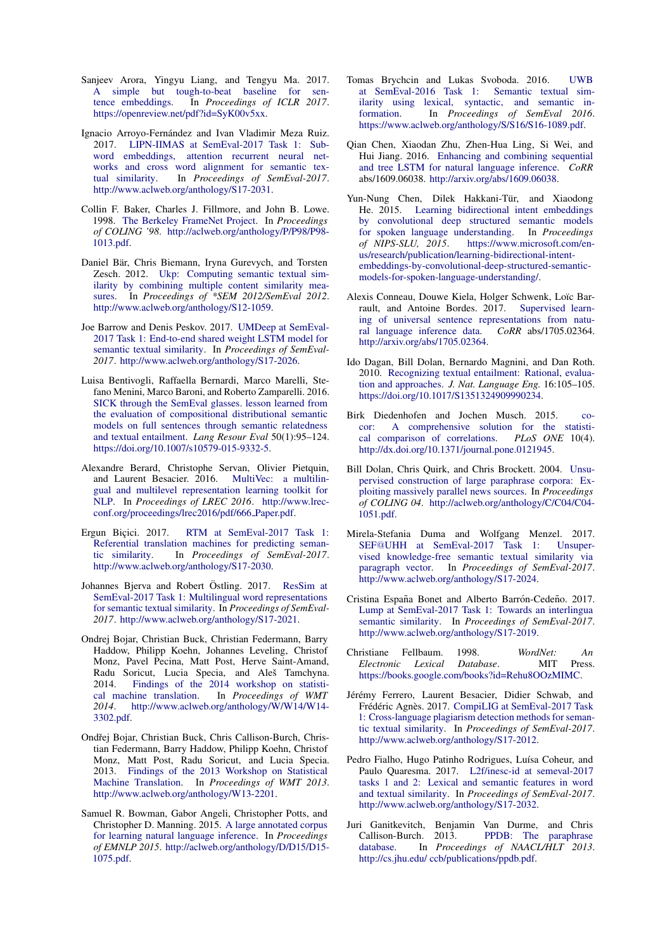- <span id="page-11-23"></span>Sanjeev Arora, Yingyu Liang, and Tengyu Ma. 2017. [A simple but tough-to-beat baseline for sen](https://openreview.net/pdf?id=SyK00v5xx)[tence embeddings.](https://openreview.net/pdf?id=SyK00v5xx) In *Proceedings of ICLR 2017*. [https://openreview.net/pdf?id=SyK00v5xx.](https://openreview.net/pdf?id=SyK00v5xx)
- <span id="page-11-15"></span>Ignacio Arroyo-Fernández and Ivan Vladimir Meza Ruiz. 2017. [LIPN-IIMAS at SemEval-2017 Task 1: Sub](http://www.aclweb.org/anthology/S17-2031)[word embeddings, attention recurrent neural net](http://www.aclweb.org/anthology/S17-2031)[works and cross word alignment for semantic tex](http://www.aclweb.org/anthology/S17-2031)[tual similarity.](http://www.aclweb.org/anthology/S17-2031) In *Proceedings of SemEval-2017*. [http://www.aclweb.org/anthology/S17-2031.](http://www.aclweb.org/anthology/S17-2031)
- <span id="page-11-6"></span>Collin F. Baker, Charles J. Fillmore, and John B. Lowe. 1998. [The Berkeley FrameNet Project.](http://aclweb.org/anthology/P/P98/P98-1013.pdf) In *Proceedings of COLING '98*. [http://aclweb.org/anthology/P/P98/P98-](http://aclweb.org/anthology/P/P98/P98-1013.pdf) [1013.pdf.](http://aclweb.org/anthology/P/P98/P98-1013.pdf)
- <span id="page-11-7"></span>Daniel Bär, Chris Biemann, Iryna Gurevych, and Torsten Zesch. 2012. [Ukp: Computing semantic textual sim](http://www.aclweb.org/anthology/S12-1059)[ilarity by combining multiple content similarity mea](http://www.aclweb.org/anthology/S12-1059)[sures.](http://www.aclweb.org/anthology/S12-1059) In *Proceedings of \*SEM 2012/SemEval 2012*. [http://www.aclweb.org/anthology/S12-1059.](http://www.aclweb.org/anthology/S12-1059)
- <span id="page-11-11"></span>Joe Barrow and Denis Peskov. 2017. [UMDeep at SemEval-](http://www.aclweb.org/anthology/S17-2026)[2017 Task 1: End-to-end shared weight LSTM model for](http://www.aclweb.org/anthology/S17-2026) [semantic textual similarity.](http://www.aclweb.org/anthology/S17-2026) In *Proceedings of SemEval-2017*. [http://www.aclweb.org/anthology/S17-2026.](http://www.aclweb.org/anthology/S17-2026)
- <span id="page-11-0"></span>Luisa Bentivogli, Raffaella Bernardi, Marco Marelli, Stefano Menini, Marco Baroni, and Roberto Zamparelli. 2016. [SICK through the SemEval glasses. lesson learned from](https://doi.org/10.1007/s10579-015-9332-5) [the evaluation of compositional distributional semantic](https://doi.org/10.1007/s10579-015-9332-5) [models on full sentences through semantic relatedness](https://doi.org/10.1007/s10579-015-9332-5) [and textual entailment.](https://doi.org/10.1007/s10579-015-9332-5) *Lang Resour Eval* 50(1):95–124. [https://doi.org/10.1007/s10579-015-9332-5.](https://doi.org/10.1007/s10579-015-9332-5)
- <span id="page-11-21"></span>Alexandre Berard, Christophe Servan, Olivier Pietquin, and Laurent Besacier. 2016. [MultiVec: a multilin](http://www.lrec-conf.org/proceedings/lrec2016/pdf/666_Paper.pdf)[gual and multilevel representation learning toolkit for](http://www.lrec-conf.org/proceedings/lrec2016/pdf/666_Paper.pdf) [NLP.](http://www.lrec-conf.org/proceedings/lrec2016/pdf/666_Paper.pdf) In *Proceedings of LREC 2016*. [http://www.lrec](http://www.lrec-conf.org/proceedings/lrec2016/pdf/666_Paper.pdf)[conf.org/proceedings/lrec2016/pdf/666](http://www.lrec-conf.org/proceedings/lrec2016/pdf/666_Paper.pdf) Paper.pdf.
- <span id="page-11-13"></span>Ergun Biçici. 2017. [RTM at SemEval-2017 Task 1:](http://www.aclweb.org/anthology/S17-2030) [Referential translation machines for predicting seman](http://www.aclweb.org/anthology/S17-2030)[tic similarity.](http://www.aclweb.org/anthology/S17-2030) In *Proceedings of SemEval-2017*. [http://www.aclweb.org/anthology/S17-2030.](http://www.aclweb.org/anthology/S17-2030)
- <span id="page-11-14"></span>Johannes Bjerva and Robert Östling. 2017. [ResSim at](http://www.aclweb.org/anthology/S17-2021) [SemEval-2017 Task 1: Multilingual word representations](http://www.aclweb.org/anthology/S17-2021) [for semantic textual similarity.](http://www.aclweb.org/anthology/S17-2021) In *Proceedings of SemEval-2017*. [http://www.aclweb.org/anthology/S17-2021.](http://www.aclweb.org/anthology/S17-2021)
- <span id="page-11-8"></span>Ondrej Bojar, Christian Buck, Christian Federmann, Barry Haddow, Philipp Koehn, Johannes Leveling, Christof Monz, Pavel Pecina, Matt Post, Herve Saint-Amand, Radu Soricut, Lucia Specia, and Aleš Tamchyna. 2014. [Findings of the 2014 workshop on statisti](http://www.aclweb.org/anthology/W/W14/W14-3302.pdf)[cal machine translation.](http://www.aclweb.org/anthology/W/W14/W14-3302.pdf) In *Proceedings of WMT 2014*. [http://www.aclweb.org/anthology/W/W14/W14-](http://www.aclweb.org/anthology/W/W14/W14-3302.pdf) [3302.pdf.](http://www.aclweb.org/anthology/W/W14/W14-3302.pdf)
- <span id="page-11-9"></span>Ondřej Bojar, Christian Buck, Chris Callison-Burch, Christian Federmann, Barry Haddow, Philipp Koehn, Christof Monz, Matt Post, Radu Soricut, and Lucia Specia. 2013. [Findings of the 2013 Workshop on Statistical](http://www.aclweb.org/anthology/W13-2201) [Machine Translation.](http://www.aclweb.org/anthology/W13-2201) In *Proceedings of WMT 2013*. [http://www.aclweb.org/anthology/W13-2201.](http://www.aclweb.org/anthology/W13-2201)
- <span id="page-11-1"></span>Samuel R. Bowman, Gabor Angeli, Christopher Potts, and Christopher D. Manning. 2015. [A large annotated corpus](http://aclweb.org/anthology/D/D15/D15-1075.pdf) [for learning natural language inference.](http://aclweb.org/anthology/D/D15/D15-1075.pdf) In *Proceedings of EMNLP 2015*. [http://aclweb.org/anthology/D/D15/D15-](http://aclweb.org/anthology/D/D15/D15-1075.pdf) [1075.pdf.](http://aclweb.org/anthology/D/D15/D15-1075.pdf)
- <span id="page-11-22"></span>Tomas Brychcin and Lukas Svoboda. 2016. [UWB](https://www.aclweb.org/anthology/S/S16/S16-1089.pdf) [at SemEval-2016 Task 1: Semantic textual sim](https://www.aclweb.org/anthology/S/S16/S16-1089.pdf)[ilarity using lexical, syntactic, and semantic in](https://www.aclweb.org/anthology/S/S16/S16-1089.pdf)[formation.](https://www.aclweb.org/anthology/S/S16/S16-1089.pdf) In *Proceedings of SemEval 2016*. [https://www.aclweb.org/anthology/S/S16/S16-1089.pdf.](https://www.aclweb.org/anthology/S/S16/S16-1089.pdf)
- <span id="page-11-20"></span>Qian Chen, Xiaodan Zhu, Zhen-Hua Ling, Si Wei, and Hui Jiang. 2016. [Enhancing and combining sequential](http://arxiv.org/abs/1609.06038) [and tree LSTM for natural language inference.](http://arxiv.org/abs/1609.06038) *CoRR* abs/1609.06038. [http://arxiv.org/abs/1609.06038.](http://arxiv.org/abs/1609.06038)
- <span id="page-11-19"></span>Yun-Nung Chen, Dilek Hakkani-Tür, and Xiaodong He. 2015. [Learning bidirectional intent embeddings](https://www.microsoft.com/en-us/research/publication/learning-bidirectional-intent-embeddings-by-convolutional-deep-structured-semantic-models-for-spoken-language-understanding/) [by convolutional deep structured semantic models](https://www.microsoft.com/en-us/research/publication/learning-bidirectional-intent-embeddings-by-convolutional-deep-structured-semantic-models-for-spoken-language-understanding/) [for spoken language understanding.](https://www.microsoft.com/en-us/research/publication/learning-bidirectional-intent-embeddings-by-convolutional-deep-structured-semantic-models-for-spoken-language-understanding/) In *Proceedings* [https://www.microsoft.com/en](https://www.microsoft.com/en-us/research/publication/learning-bidirectional-intent-embeddings-by-convolutional-deep-structured-semantic-models-for-spoken-language-understanding/)[us/research/publication/learning-bidirectional-intent](https://www.microsoft.com/en-us/research/publication/learning-bidirectional-intent-embeddings-by-convolutional-deep-structured-semantic-models-for-spoken-language-understanding/)[embeddings-by-convolutional-deep-structured-semantic](https://www.microsoft.com/en-us/research/publication/learning-bidirectional-intent-embeddings-by-convolutional-deep-structured-semantic-models-for-spoken-language-understanding/)[models-for-spoken-language-understanding/.](https://www.microsoft.com/en-us/research/publication/learning-bidirectional-intent-embeddings-by-convolutional-deep-structured-semantic-models-for-spoken-language-understanding/)
- <span id="page-11-24"></span>Alexis Conneau, Douwe Kiela, Holger Schwenk, Loïc Barrault, and Antoine Bordes. 2017. [Supervised learn](http://arxiv.org/abs/1705.02364)ing of universal sentence representations from natu-<br>ral language inference data.  $CoRR$  abs/1705.02364. [ral language inference data.](http://arxiv.org/abs/1705.02364) [http://arxiv.org/abs/1705.02364.](http://arxiv.org/abs/1705.02364)
- <span id="page-11-2"></span>Ido Dagan, Bill Dolan, Bernardo Magnini, and Dan Roth. 2010. [Recognizing textual entailment: Rational, evalua](https://doi.org/10.1017/S1351324909990234)[tion and approaches.](https://doi.org/10.1017/S1351324909990234) *J. Nat. Language Eng.* 16:105–105. [https://doi.org/10.1017/S1351324909990234.](https://doi.org/10.1017/S1351324909990234)
- <span id="page-11-18"></span>Birk Diedenhofen and Jochen Musch. 2015. [co](http://dx.doi.org/10.1371/journal.pone.0121945)[cor: A comprehensive solution for the statisti](http://dx.doi.org/10.1371/journal.pone.0121945)[cal comparison of correlations.](http://dx.doi.org/10.1371/journal.pone.0121945) *PLoS ONE* 10(4). [http://dx.doi.org/10.1371/journal.pone.0121945.](http://dx.doi.org/10.1371/journal.pone.0121945)
- <span id="page-11-4"></span>Bill Dolan, Chris Quirk, and Chris Brockett. 2004. [Unsu](http://aclweb.org/anthology/C/C04/C04-1051.pdf)[pervised construction of large paraphrase corpora: Ex](http://aclweb.org/anthology/C/C04/C04-1051.pdf)[ploiting massively parallel news sources.](http://aclweb.org/anthology/C/C04/C04-1051.pdf) In *Proceedings of COLING 04*. [http://aclweb.org/anthology/C/C04/C04-](http://aclweb.org/anthology/C/C04/C04-1051.pdf) [1051.pdf.](http://aclweb.org/anthology/C/C04/C04-1051.pdf)
- <span id="page-11-10"></span>Mirela-Stefania Duma and Wolfgang Menzel. 2017. SEF@[UHH at SemEval-2017 Task 1: Unsuper](http://www.aclweb.org/anthology/S17-2024)[vised knowledge-free semantic textual similarity via](http://www.aclweb.org/anthology/S17-2024) [paragraph vector.](http://www.aclweb.org/anthology/S17-2024) In *Proceedings of SemEval-2017*. [http://www.aclweb.org/anthology/S17-2024.](http://www.aclweb.org/anthology/S17-2024)
- <span id="page-11-12"></span>Cristina España Bonet and Alberto Barrón-Cedeño. 2017. [Lump at SemEval-2017 Task 1: Towards an interlingua](http://www.aclweb.org/anthology/S17-2019) [semantic similarity.](http://www.aclweb.org/anthology/S17-2019) In *Proceedings of SemEval-2017*. [http://www.aclweb.org/anthology/S17-2019.](http://www.aclweb.org/anthology/S17-2019)
- <span id="page-11-5"></span>Christiane Fellbaum. 1998. *WordNet: An Electronic Lexical Database*. MIT Press. [https://books.google.com/books?id=Rehu8OOzMIMC.](https://books.google.com/books?id=Rehu8OOzMIMC)
- <span id="page-11-16"></span>Jérémy Ferrero, Laurent Besacier, Didier Schwab, and Frédéric Agnès. 2017. [CompiLIG at SemEval-2017 Task](http://www.aclweb.org/anthology/S17-2012) [1: Cross-language plagiarism detection methods for seman](http://www.aclweb.org/anthology/S17-2012)[tic textual similarity.](http://www.aclweb.org/anthology/S17-2012) In *Proceedings of SemEval-2017*. [http://www.aclweb.org/anthology/S17-2012.](http://www.aclweb.org/anthology/S17-2012)
- <span id="page-11-17"></span>Pedro Fialho, Hugo Patinho Rodrigues, Luísa Coheur, and Paulo Quaresma. 2017. [L2f/inesc-id at semeval-2017](http://www.aclweb.org/anthology/S17-2032) [tasks 1 and 2: Lexical and semantic features in word](http://www.aclweb.org/anthology/S17-2032) [and textual similarity.](http://www.aclweb.org/anthology/S17-2032) In *Proceedings of SemEval-2017*. [http://www.aclweb.org/anthology/S17-2032.](http://www.aclweb.org/anthology/S17-2032)
- <span id="page-11-3"></span>Juri Ganitkevitch, Benjamin Van Durme, and Chris Callison-Burch. 2013. [PPDB: The paraphrase](http://cs.jhu.edu/~ccb/publications/ppdb.pdf)<br>database. In Proceedings of NAACL/HLT 2013 In *Proceedings of NAACL/HLT 2013*. [http://cs.jhu.edu/ ccb/publications/ppdb.pdf.](http://cs.jhu.edu/~ccb/publications/ppdb.pdf)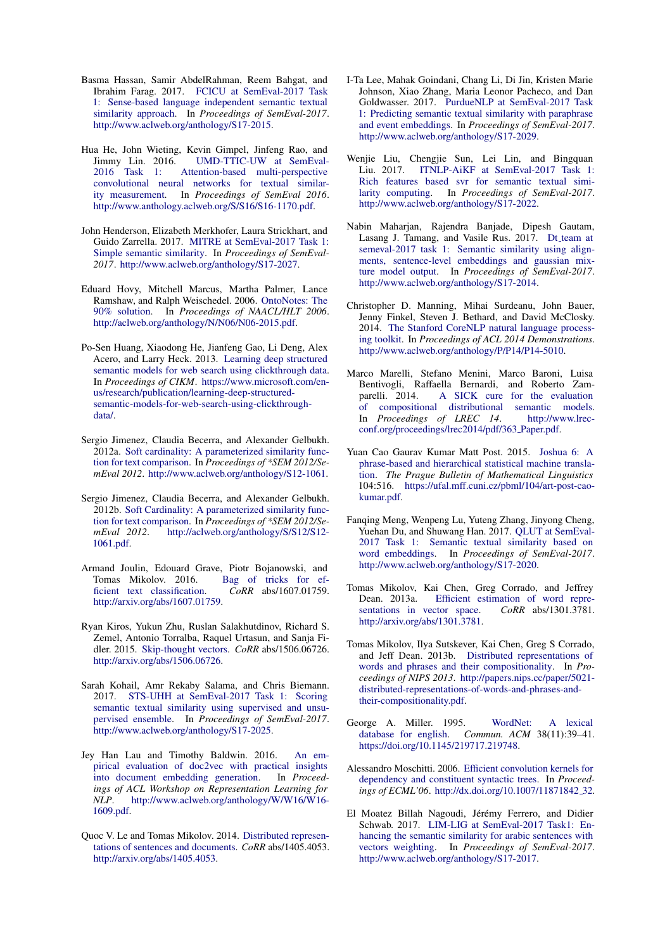- <span id="page-12-6"></span>Basma Hassan, Samir AbdelRahman, Reem Bahgat, and Ibrahim Farag. 2017. [FCICU at SemEval-2017 Task](http://www.aclweb.org/anthology/S17-2015) [1: Sense-based language independent semantic textual](http://www.aclweb.org/anthology/S17-2015) [similarity approach.](http://www.aclweb.org/anthology/S17-2015) In *Proceedings of SemEval-2017*. [http://www.aclweb.org/anthology/S17-2015.](http://www.aclweb.org/anthology/S17-2015)
- <span id="page-12-3"></span>Hua He, John Wieting, Kevin Gimpel, Jinfeng Rao, and Jimmy Lin. 2016. UMD-TTIC-UW at SemEval-<br>2016 Task 1: Attention-based multi-perspective Attention-based multi-perspective [convolutional neural networks for textual similar](http://www.anthology.aclweb.org/S/S16/S16-1170.pdf)[ity measurement.](http://www.anthology.aclweb.org/S/S16/S16-1170.pdf) In *Proceedings of SemEval 2016*. [http://www.anthology.aclweb.org/S/S16/S16-1170.pdf.](http://www.anthology.aclweb.org/S/S16/S16-1170.pdf)
- <span id="page-12-5"></span>John Henderson, Elizabeth Merkhofer, Laura Strickhart, and Guido Zarrella. 2017. [MITRE at SemEval-2017 Task 1:](http://www.aclweb.org/anthology/S17-2027) [Simple semantic similarity.](http://www.aclweb.org/anthology/S17-2027) In *Proceedings of SemEval-2017*. [http://www.aclweb.org/anthology/S17-2027.](http://www.aclweb.org/anthology/S17-2027)
- <span id="page-12-1"></span>Eduard Hovy, Mitchell Marcus, Martha Palmer, Lance Ramshaw, and Ralph Weischedel. 2006. [OntoNotes: The](http://aclweb.org/anthology/N/N06/N06-2015.pdf) [90% solution.](http://aclweb.org/anthology/N/N06/N06-2015.pdf) In *Proceedings of NAACL/HLT 2006*. [http://aclweb.org/anthology/N/N06/N06-2015.pdf.](http://aclweb.org/anthology/N/N06/N06-2015.pdf)
- <span id="page-12-14"></span>Po-Sen Huang, Xiaodong He, Jianfeng Gao, Li Deng, Alex Acero, and Larry Heck. 2013. [Learning deep structured](https://www.microsoft.com/en-us/research/publication/learning-deep-structured-semantic-models-for-web-search-using-clickthrough-data/) [semantic models for web search using clickthrough data.](https://www.microsoft.com/en-us/research/publication/learning-deep-structured-semantic-models-for-web-search-using-clickthrough-data/) In *Proceedings of CIKM*. [https://www.microsoft.com/en](https://www.microsoft.com/en-us/research/publication/learning-deep-structured-semantic-models-for-web-search-using-clickthrough-data/)[us/research/publication/learning-deep-structured](https://www.microsoft.com/en-us/research/publication/learning-deep-structured-semantic-models-for-web-search-using-clickthrough-data/)[semantic-models-for-web-search-using-clickthrough](https://www.microsoft.com/en-us/research/publication/learning-deep-structured-semantic-models-for-web-search-using-clickthrough-data/)[data/.](https://www.microsoft.com/en-us/research/publication/learning-deep-structured-semantic-models-for-web-search-using-clickthrough-data/)
- <span id="page-12-2"></span>Sergio Jimenez, Claudia Becerra, and Alexander Gelbukh. 2012a. [Soft cardinality: A parameterized similarity func](http://www.aclweb.org/anthology/S12-1061)[tion for text comparison.](http://www.aclweb.org/anthology/S12-1061) In *Proceedings of \*SEM 2012/SemEval 2012*. [http://www.aclweb.org/anthology/S12-1061.](http://www.aclweb.org/anthology/S12-1061)
- <span id="page-12-15"></span>Sergio Jimenez, Claudia Becerra, and Alexander Gelbukh. 2012b. [Soft Cardinality: A parameterized similarity func](http://aclweb.org/anthology/S/S12/S12-1061.pdf)[tion for text comparison.](http://aclweb.org/anthology/S/S12/S12-1061.pdf) In *Proceedings of \*SEM 2012/SemEval 2012*. [http://aclweb.org/anthology/S/S12/S12-](http://aclweb.org/anthology/S/S12/S12-1061.pdf) [1061.pdf.](http://aclweb.org/anthology/S/S12/S12-1061.pdf)
- <span id="page-12-19"></span>Armand Joulin, Edouard Grave, Piotr Bojanowski, and Tomas Mikolov. 2016. Bag of tricks for ef-<br>ficient text classification.  $CoRR$  abs/1607.01759. [ficient text classification.](http://arxiv.org/abs/1607.01759) [http://arxiv.org/abs/1607.01759.](http://arxiv.org/abs/1607.01759)
- <span id="page-12-16"></span>Ryan Kiros, Yukun Zhu, Ruslan Salakhutdinov, Richard S. Zemel, Antonio Torralba, Raquel Urtasun, and Sanja Fidler. 2015. [Skip-thought vectors.](http://arxiv.org/abs/1506.06726) *CoRR* abs/1506.06726. [http://arxiv.org/abs/1506.06726.](http://arxiv.org/abs/1506.06726)
- <span id="page-12-7"></span>Sarah Kohail, Amr Rekaby Salama, and Chris Biemann. 2017. [STS-UHH at SemEval-2017 Task 1: Scoring](http://www.aclweb.org/anthology/S17-2025) [semantic textual similarity using supervised and unsu](http://www.aclweb.org/anthology/S17-2025)[pervised ensemble.](http://www.aclweb.org/anthology/S17-2025) In *Proceedings of SemEval-2017*. [http://www.aclweb.org/anthology/S17-2025.](http://www.aclweb.org/anthology/S17-2025)
- <span id="page-12-18"></span>Jey Han Lau and Timothy Baldwin. 2016. [An em](http://www.aclweb.org/anthology/W/W16/W16-1609.pdf)[pirical evaluation of doc2vec with practical insights](http://www.aclweb.org/anthology/W/W16/W16-1609.pdf) [into document embedding generation.](http://www.aclweb.org/anthology/W/W16/W16-1609.pdf) In *Proceedings of ACL Workshop on Representation Learning for NLP*. [http://www.aclweb.org/anthology/W/W16/W16-](http://www.aclweb.org/anthology/W/W16/W16-1609.pdf) [1609.pdf.](http://www.aclweb.org/anthology/W/W16/W16-1609.pdf)
- <span id="page-12-17"></span>Quoc V. Le and Tomas Mikolov. 2014. [Distributed represen](http://arxiv.org/abs/1405.4053)[tations of sentences and documents.](http://arxiv.org/abs/1405.4053) *CoRR* abs/1405.4053. [http://arxiv.org/abs/1405.4053.](http://arxiv.org/abs/1405.4053)
- <span id="page-12-11"></span>I-Ta Lee, Mahak Goindani, Chang Li, Di Jin, Kristen Marie Johnson, Xiao Zhang, Maria Leonor Pacheco, and Dan Goldwasser. 2017. [PurdueNLP at SemEval-2017 Task](http://www.aclweb.org/anthology/S17-2029) [1: Predicting semantic textual similarity with paraphrase](http://www.aclweb.org/anthology/S17-2029) [and event embeddings.](http://www.aclweb.org/anthology/S17-2029) In *Proceedings of SemEval-2017*. [http://www.aclweb.org/anthology/S17-2029.](http://www.aclweb.org/anthology/S17-2029)
- <span id="page-12-9"></span>Wenjie Liu, Chengjie Sun, Lei Lin, and Bingquan Liu. 2017. [ITNLP-AiKF at SemEval-2017 Task 1:](http://www.aclweb.org/anthology/S17-2022) [Rich features based svr for semantic textual simi](http://www.aclweb.org/anthology/S17-2022)[larity computing.](http://www.aclweb.org/anthology/S17-2022) In *Proceedings of SemEval-2017*. [http://www.aclweb.org/anthology/S17-2022.](http://www.aclweb.org/anthology/S17-2022)
- <span id="page-12-8"></span>Nabin Maharjan, Rajendra Banjade, Dipesh Gautam, Lasang J. Tamang, and Vasile Rus. 2017. Dt\_[team at](http://www.aclweb.org/anthology/S17-2014) [semeval-2017 task 1: Semantic similarity using align](http://www.aclweb.org/anthology/S17-2014)[ments, sentence-level embeddings and gaussian mix](http://www.aclweb.org/anthology/S17-2014)[ture model output.](http://www.aclweb.org/anthology/S17-2014) In *Proceedings of SemEval-2017*. [http://www.aclweb.org/anthology/S17-2014.](http://www.aclweb.org/anthology/S17-2014)
- <span id="page-12-23"></span>Christopher D. Manning, Mihai Surdeanu, John Bauer, Jenny Finkel, Steven J. Bethard, and David McClosky. 2014. [The Stanford CoreNLP natural language process](http://www.aclweb.org/anthology/P/P14/P14-5010)[ing toolkit.](http://www.aclweb.org/anthology/P/P14/P14-5010) In *Proceedings of ACL 2014 Demonstrations*. [http://www.aclweb.org/anthology/P/P14/P14-5010.](http://www.aclweb.org/anthology/P/P14/P14-5010)
- <span id="page-12-4"></span>Marco Marelli, Stefano Menini, Marco Baroni, Luisa Bentivogli, Raffaella Bernardi, and Roberto Zam-[A SICK cure for the evaluation](http://www.lrec-conf.org/proceedings/lrec2014/pdf/363_Paper.pdf) [of compositional distributional semantic models.](http://www.lrec-conf.org/proceedings/lrec2014/pdf/363_Paper.pdf) In *Proceedings of LREC 14*. [http://www.lrec](http://www.lrec-conf.org/proceedings/lrec2014/pdf/363_Paper.pdf)[conf.org/proceedings/lrec2014/pdf/363](http://www.lrec-conf.org/proceedings/lrec2014/pdf/363_Paper.pdf) Paper.pdf.
- <span id="page-12-22"></span>Yuan Cao Gaurav Kumar Matt Post. 2015. [Joshua 6: A](https://ufal.mff.cuni.cz/pbml/104/art-post-cao-kumar.pdf) [phrase-based and hierarchical statistical machine transla](https://ufal.mff.cuni.cz/pbml/104/art-post-cao-kumar.pdf)[tion.](https://ufal.mff.cuni.cz/pbml/104/art-post-cao-kumar.pdf) *The Prague Bulletin of Mathematical Linguistics* 104:516. [https://ufal.mff.cuni.cz/pbml/104/art-post-cao](https://ufal.mff.cuni.cz/pbml/104/art-post-cao-kumar.pdf)[kumar.pdf.](https://ufal.mff.cuni.cz/pbml/104/art-post-cao-kumar.pdf)
- <span id="page-12-12"></span>Fanqing Meng, Wenpeng Lu, Yuteng Zhang, Jinyong Cheng, Yuehan Du, and Shuwang Han. 2017. [QLUT at SemEval-](http://www.aclweb.org/anthology/S17-2020)[2017 Task 1: Semantic textual similarity based on](http://www.aclweb.org/anthology/S17-2020) [word embeddings.](http://www.aclweb.org/anthology/S17-2020) In *Proceedings of SemEval-2017*. [http://www.aclweb.org/anthology/S17-2020.](http://www.aclweb.org/anthology/S17-2020)
- <span id="page-12-20"></span>Tomas Mikolov, Kai Chen, Greg Corrado, and Jeffrey Dean. 2013a. Efficient estimation of word repre-<br>sentations in vector space. *CoRR* abs/1301.3781. [sentations in vector space.](http://arxiv.org/abs/1301.3781) [http://arxiv.org/abs/1301.3781.](http://arxiv.org/abs/1301.3781)
- <span id="page-12-21"></span>Tomas Mikolov, Ilya Sutskever, Kai Chen, Greg S Corrado, and Jeff Dean. 2013b. [Distributed representations of](http://papers.nips.cc/paper/5021-distributed-representations-of-words-and-phrases-and-their-compositionality.pdf) [words and phrases and their compositionality.](http://papers.nips.cc/paper/5021-distributed-representations-of-words-and-phrases-and-their-compositionality.pdf) In *Proceedings of NIPS 2013*. [http://papers.nips.cc/paper/5021](http://papers.nips.cc/paper/5021-distributed-representations-of-words-and-phrases-and-their-compositionality.pdf) [distributed-representations-of-words-and-phrases-and](http://papers.nips.cc/paper/5021-distributed-representations-of-words-and-phrases-and-their-compositionality.pdf)[their-compositionality.pdf.](http://papers.nips.cc/paper/5021-distributed-representations-of-words-and-phrases-and-their-compositionality.pdf)
- <span id="page-12-0"></span>George A. Miller. 1995. [WordNet: A lexical](https://doi.org/10.1145/219717.219748) [database for english.](https://doi.org/10.1145/219717.219748) *Commun. ACM* 38(11):39–41. [https://doi.org/10.1145/219717.219748.](https://doi.org/10.1145/219717.219748)
- <span id="page-12-13"></span>Alessandro Moschitti. 2006. [Efficient convolution kernels for](http://dx.doi.org/10.1007/11871842_32) [dependency and constituent syntactic trees.](http://dx.doi.org/10.1007/11871842_32) In *Proceedings of ECML'06*. [http://dx.doi.org/10.1007/11871842](http://dx.doi.org/10.1007/11871842_32) 32.
- <span id="page-12-10"></span>El Moatez Billah Nagoudi, Jérémy Ferrero, and Didier Schwab. 2017. [LIM-LIG at SemEval-2017 Task1: En](http://www.aclweb.org/anthology/S17-2017)[hancing the semantic similarity for arabic sentences with](http://www.aclweb.org/anthology/S17-2017) [vectors weighting.](http://www.aclweb.org/anthology/S17-2017) In *Proceedings of SemEval-2017*. [http://www.aclweb.org/anthology/S17-2017.](http://www.aclweb.org/anthology/S17-2017)